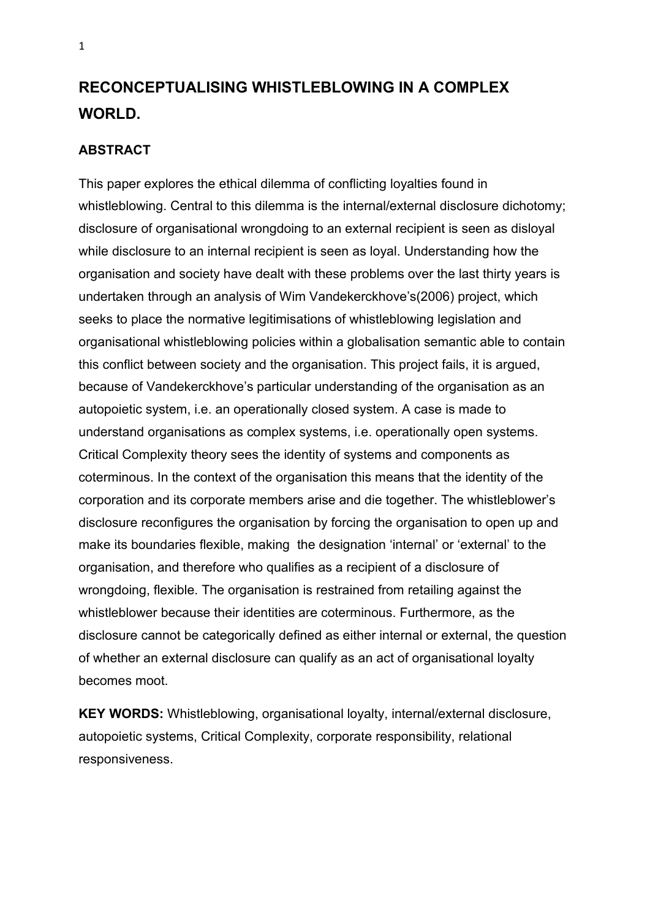# **RECONCEPTUALISING WHISTLEBLOWING IN A COMPLEX WORLD.**

### **ABSTRACT**

This paper explores the ethical dilemma of conflicting loyalties found in whistleblowing. Central to this dilemma is the internal/external disclosure dichotomy; disclosure of organisational wrongdoing to an external recipient is seen as disloyal while disclosure to an internal recipient is seen as loyal. Understanding how the organisation and society have dealt with these problems over the last thirty years is undertaken through an analysis of Wim Vandekerckhove's(2006) project, which seeks to place the normative legitimisations of whistleblowing legislation and organisational whistleblowing policies within a globalisation semantic able to contain this conflict between society and the organisation. This project fails, it is argued, because of Vandekerckhove's particular understanding of the organisation as an autopoietic system, i.e. an operationally closed system. A case is made to understand organisations as complex systems, i.e. operationally open systems. Critical Complexity theory sees the identity of systems and components as coterminous. In the context of the organisation this means that the identity of the corporation and its corporate members arise and die together. The whistleblower's disclosure reconfigures the organisation by forcing the organisation to open up and make its boundaries flexible, making the designation 'internal' or 'external' to the organisation, and therefore who qualifies as a recipient of a disclosure of wrongdoing, flexible. The organisation is restrained from retailing against the whistleblower because their identities are coterminous. Furthermore, as the disclosure cannot be categorically defined as either internal or external, the question of whether an external disclosure can qualify as an act of organisational loyalty becomes moot.

**KEY WORDS:** Whistleblowing, organisational loyalty, internal/external disclosure, autopoietic systems, Critical Complexity, corporate responsibility, relational responsiveness.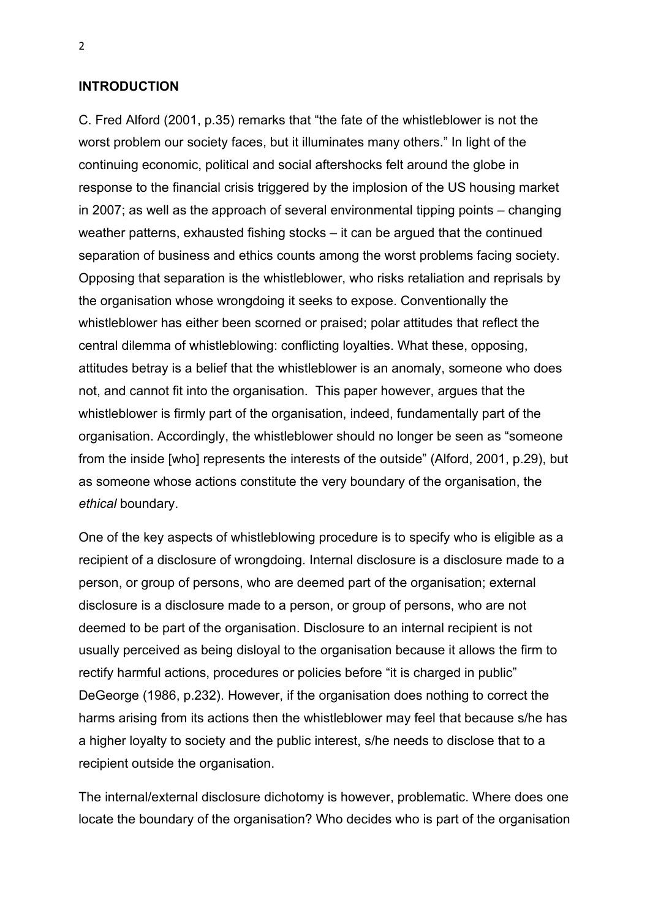#### **INTRODUCTION**

C. Fred Alford (2001, p.35) remarks that "the fate of the whistleblower is not the worst problem our society faces, but it illuminates many others." In light of the continuing economic, political and social aftershocks felt around the globe in response to the financial crisis triggered by the implosion of the US housing market in 2007; as well as the approach of several environmental tipping points – changing weather patterns, exhausted fishing stocks – it can be argued that the continued separation of business and ethics counts among the worst problems facing society. Opposing that separation is the whistleblower, who risks retaliation and reprisals by the organisation whose wrongdoing it seeks to expose. Conventionally the whistleblower has either been scorned or praised; polar attitudes that reflect the central dilemma of whistleblowing: conflicting loyalties. What these, opposing, attitudes betray is a belief that the whistleblower is an anomaly, someone who does not, and cannot fit into the organisation. This paper however, argues that the whistleblower is firmly part of the organisation, indeed, fundamentally part of the organisation. Accordingly, the whistleblower should no longer be seen as "someone from the inside [who] represents the interests of the outside" (Alford, 2001, p.29), but as someone whose actions constitute the very boundary of the organisation, the *ethical* boundary.

One of the key aspects of whistleblowing procedure is to specify who is eligible as a recipient of a disclosure of wrongdoing. Internal disclosure is a disclosure made to a person, or group of persons, who are deemed part of the organisation; external disclosure is a disclosure made to a person, or group of persons, who are not deemed to be part of the organisation. Disclosure to an internal recipient is not usually perceived as being disloyal to the organisation because it allows the firm to rectify harmful actions, procedures or policies before "it is charged in public" DeGeorge (1986, p.232). However, if the organisation does nothing to correct the harms arising from its actions then the whistleblower may feel that because s/he has a higher loyalty to society and the public interest, s/he needs to disclose that to a recipient outside the organisation.

The internal/external disclosure dichotomy is however, problematic. Where does one locate the boundary of the organisation? Who decides who is part of the organisation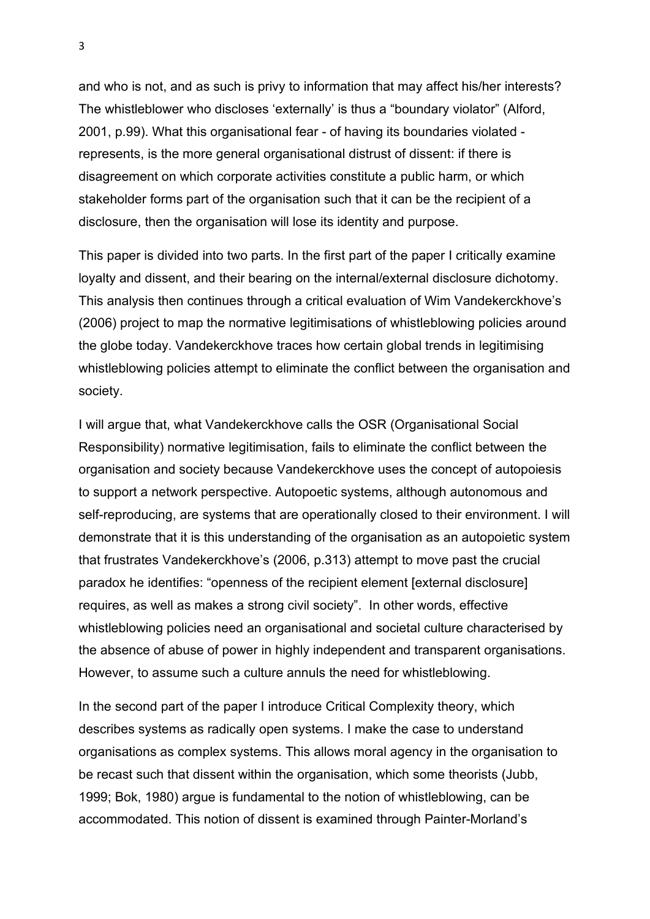and who is not, and as such is privy to information that may affect his/her interests? The whistleblower who discloses 'externally' is thus a "boundary violator" (Alford, 2001, p.99). What this organisational fear - of having its boundaries violated represents, is the more general organisational distrust of dissent: if there is disagreement on which corporate activities constitute a public harm, or which stakeholder forms part of the organisation such that it can be the recipient of a disclosure, then the organisation will lose its identity and purpose.

This paper is divided into two parts. In the first part of the paper I critically examine loyalty and dissent, and their bearing on the internal/external disclosure dichotomy. This analysis then continues through a critical evaluation of Wim Vandekerckhove's (2006) project to map the normative legitimisations of whistleblowing policies around the globe today. Vandekerckhove traces how certain global trends in legitimising whistleblowing policies attempt to eliminate the conflict between the organisation and society.

I will argue that, what Vandekerckhove calls the OSR (Organisational Social Responsibility) normative legitimisation, fails to eliminate the conflict between the organisation and society because Vandekerckhove uses the concept of autopoiesis to support a network perspective. Autopoetic systems, although autonomous and self-reproducing, are systems that are operationally closed to their environment. I will demonstrate that it is this understanding of the organisation as an autopoietic system that frustrates Vandekerckhove's (2006, p.313) attempt to move past the crucial paradox he identifies: "openness of the recipient element [external disclosure] requires, as well as makes a strong civil society". In other words, effective whistleblowing policies need an organisational and societal culture characterised by the absence of abuse of power in highly independent and transparent organisations. However, to assume such a culture annuls the need for whistleblowing.

In the second part of the paper I introduce Critical Complexity theory, which describes systems as radically open systems. I make the case to understand organisations as complex systems. This allows moral agency in the organisation to be recast such that dissent within the organisation, which some theorists (Jubb, 1999; Bok, 1980) argue is fundamental to the notion of whistleblowing, can be accommodated. This notion of dissent is examined through Painter-Morland's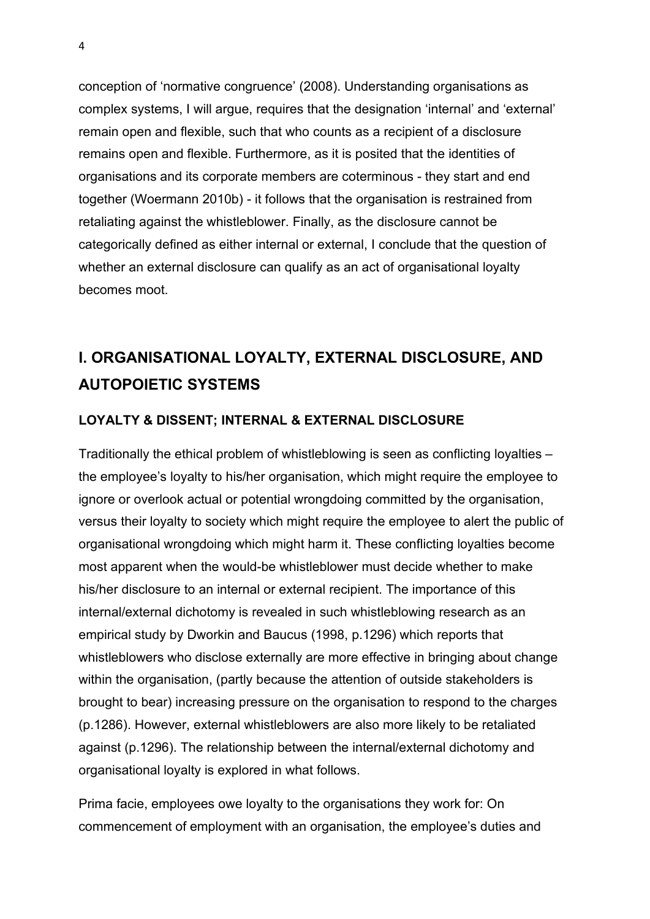conception of 'normative congruence' (2008). Understanding organisations as complex systems, I will argue, requires that the designation 'internal' and 'external' remain open and flexible, such that who counts as a recipient of a disclosure remains open and flexible. Furthermore, as it is posited that the identities of organisations and its corporate members are coterminous - they start and end together (Woermann 2010b) - it follows that the organisation is restrained from retaliating against the whistleblower. Finally, as the disclosure cannot be categorically defined as either internal or external, I conclude that the question of whether an external disclosure can qualify as an act of organisational loyalty becomes moot.

## **I. ORGANISATIONAL LOYALTY, EXTERNAL DISCLOSURE, AND AUTOPOIETIC SYSTEMS**

### **LOYALTY & DISSENT; INTERNAL & EXTERNAL DISCLOSURE**

Traditionally the ethical problem of whistleblowing is seen as conflicting loyalties – the employee's loyalty to his/her organisation, which might require the employee to ignore or overlook actual or potential wrongdoing committed by the organisation, versus their loyalty to society which might require the employee to alert the public of organisational wrongdoing which might harm it. These conflicting loyalties become most apparent when the would-be whistleblower must decide whether to make his/her disclosure to an internal or external recipient. The importance of this internal/external dichotomy is revealed in such whistleblowing research as an empirical study by Dworkin and Baucus (1998, p.1296) which reports that whistleblowers who disclose externally are more effective in bringing about change within the organisation, (partly because the attention of outside stakeholders is brought to bear) increasing pressure on the organisation to respond to the charges (p.1286). However, external whistleblowers are also more likely to be retaliated against (p.1296). The relationship between the internal/external dichotomy and organisational loyalty is explored in what follows.

Prima facie, employees owe loyalty to the organisations they work for: On commencement of employment with an organisation, the employee's duties and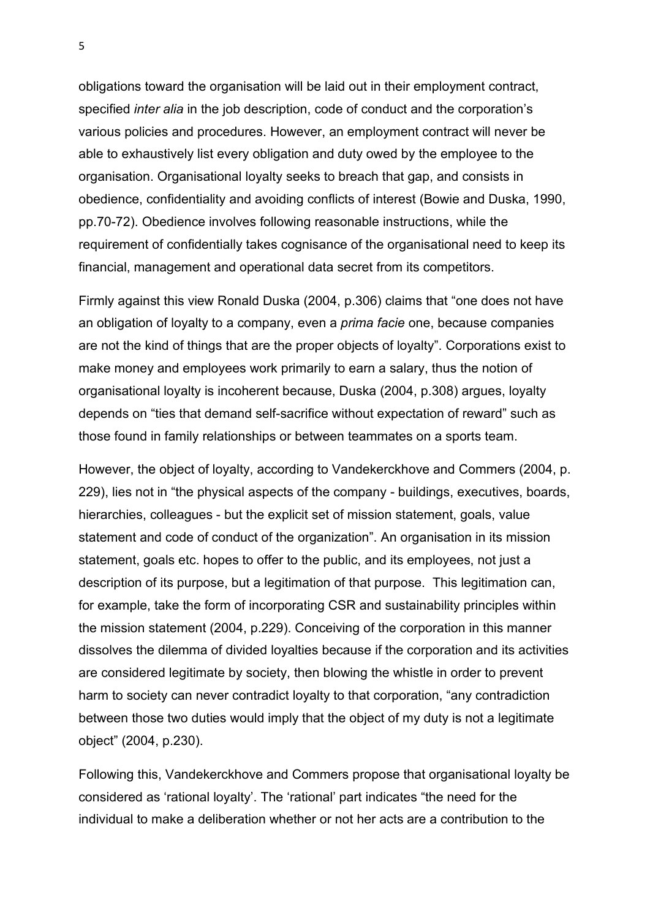obligations toward the organisation will be laid out in their employment contract, specified *inter alia* in the job description, code of conduct and the corporation's various policies and procedures. However, an employment contract will never be able to exhaustively list every obligation and duty owed by the employee to the organisation. Organisational loyalty seeks to breach that gap, and consists in obedience, confidentiality and avoiding conflicts of interest (Bowie and Duska, 1990, pp.70-72). Obedience involves following reasonable instructions, while the requirement of confidentially takes cognisance of the organisational need to keep its financial, management and operational data secret from its competitors.

Firmly against this view Ronald Duska (2004, p.306) claims that "one does not have an obligation of loyalty to a company, even a *prima facie* one, because companies are not the kind of things that are the proper objects of loyalty". Corporations exist to make money and employees work primarily to earn a salary, thus the notion of organisational loyalty is incoherent because, Duska (2004, p.308) argues, loyalty depends on "ties that demand self-sacrifice without expectation of reward" such as those found in family relationships or between teammates on a sports team.

However, the object of loyalty, according to Vandekerckhove and Commers (2004, p. 229), lies not in "the physical aspects of the company - buildings, executives, boards, hierarchies, colleagues - but the explicit set of mission statement, goals, value statement and code of conduct of the organization". An organisation in its mission statement, goals etc. hopes to offer to the public, and its employees, not just a description of its purpose, but a legitimation of that purpose. This legitimation can, for example, take the form of incorporating CSR and sustainability principles within the mission statement (2004, p.229). Conceiving of the corporation in this manner dissolves the dilemma of divided loyalties because if the corporation and its activities are considered legitimate by society, then blowing the whistle in order to prevent harm to society can never contradict loyalty to that corporation, "any contradiction between those two duties would imply that the object of my duty is not a legitimate object" (2004, p.230).

Following this, Vandekerckhove and Commers propose that organisational loyalty be considered as 'rational loyalty'. The 'rational' part indicates "the need for the individual to make a deliberation whether or not her acts are a contribution to the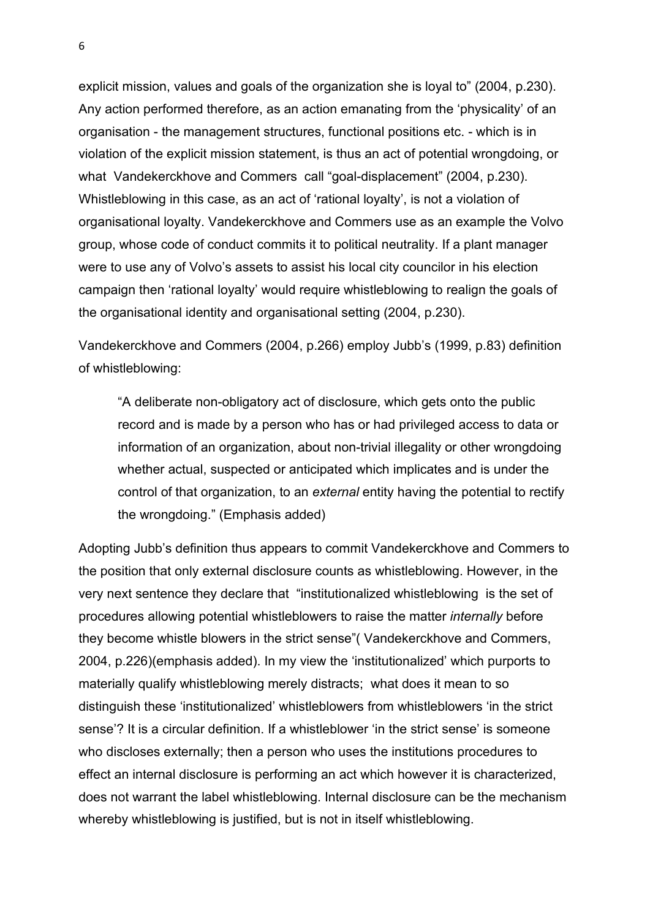explicit mission, values and goals of the organization she is loyal to" (2004, p.230). Any action performed therefore, as an action emanating from the 'physicality' of an organisation - the management structures, functional positions etc. - which is in violation of the explicit mission statement, is thus an act of potential wrongdoing, or what Vandekerckhove and Commers call "goal-displacement" (2004, p.230). Whistleblowing in this case, as an act of 'rational loyalty', is not a violation of organisational loyalty. Vandekerckhove and Commers use as an example the Volvo group, whose code of conduct commits it to political neutrality. If a plant manager were to use any of Volvo's assets to assist his local city councilor in his election campaign then 'rational loyalty' would require whistleblowing to realign the goals of the organisational identity and organisational setting (2004, p.230).

Vandekerckhove and Commers (2004, p.266) employ Jubb's (1999, p.83) definition of whistleblowing:

"A deliberate non-obligatory act of disclosure, which gets onto the public record and is made by a person who has or had privileged access to data or information of an organization, about non-trivial illegality or other wrongdoing whether actual, suspected or anticipated which implicates and is under the control of that organization, to an *external* entity having the potential to rectify the wrongdoing." (Emphasis added)

Adopting Jubb's definition thus appears to commit Vandekerckhove and Commers to the position that only external disclosure counts as whistleblowing. However, in the very next sentence they declare that "institutionalized whistleblowing is the set of procedures allowing potential whistleblowers to raise the matter *internally* before they become whistle blowers in the strict sense"( Vandekerckhove and Commers, 2004, p.226)(emphasis added). In my view the 'institutionalized' which purports to materially qualify whistleblowing merely distracts; what does it mean to so distinguish these 'institutionalized' whistleblowers from whistleblowers 'in the strict sense'? It is a circular definition. If a whistleblower 'in the strict sense' is someone who discloses externally; then a person who uses the institutions procedures to effect an internal disclosure is performing an act which however it is characterized, does not warrant the label whistleblowing. Internal disclosure can be the mechanism whereby whistleblowing is justified, but is not in itself whistleblowing.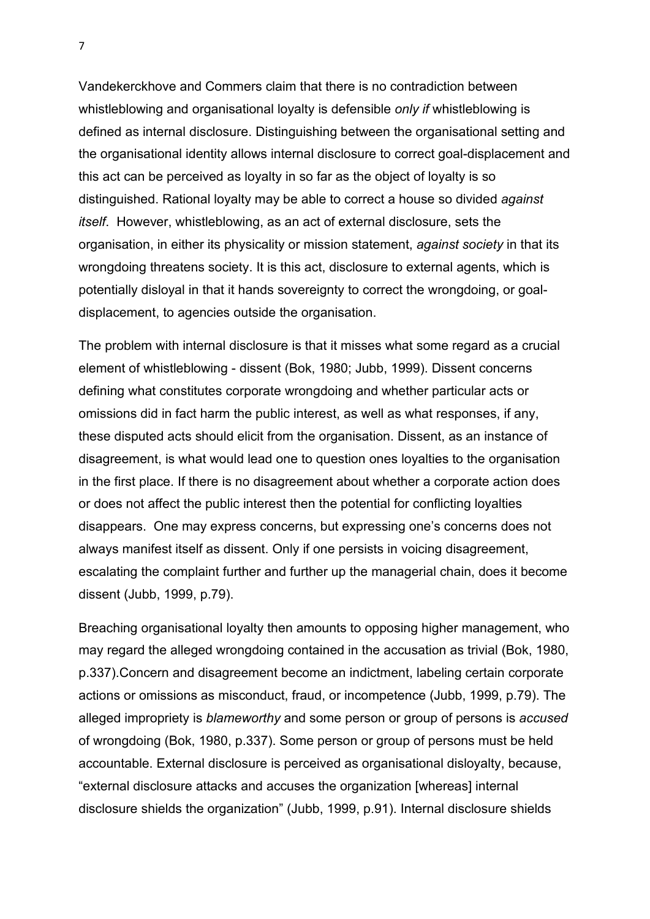Vandekerckhove and Commers claim that there is no contradiction between whistleblowing and organisational loyalty is defensible *only if* whistleblowing is defined as internal disclosure. Distinguishing between the organisational setting and the organisational identity allows internal disclosure to correct goal-displacement and this act can be perceived as loyalty in so far as the object of loyalty is so distinguished. Rational loyalty may be able to correct a house so divided *against itself*. However, whistleblowing, as an act of external disclosure, sets the organisation, in either its physicality or mission statement, *against society* in that its wrongdoing threatens society. It is this act, disclosure to external agents, which is potentially disloyal in that it hands sovereignty to correct the wrongdoing, or goaldisplacement, to agencies outside the organisation.

The problem with internal disclosure is that it misses what some regard as a crucial element of whistleblowing - dissent (Bok, 1980; Jubb, 1999). Dissent concerns defining what constitutes corporate wrongdoing and whether particular acts or omissions did in fact harm the public interest, as well as what responses, if any, these disputed acts should elicit from the organisation. Dissent, as an instance of disagreement, is what would lead one to question ones loyalties to the organisation in the first place. If there is no disagreement about whether a corporate action does or does not affect the public interest then the potential for conflicting loyalties disappears. One may express concerns, but expressing one's concerns does not always manifest itself as dissent. Only if one persists in voicing disagreement, escalating the complaint further and further up the managerial chain, does it become dissent (Jubb, 1999, p.79).

Breaching organisational loyalty then amounts to opposing higher management, who may regard the alleged wrongdoing contained in the accusation as trivial (Bok, 1980, p.337).Concern and disagreement become an indictment, labeling certain corporate actions or omissions as misconduct, fraud, or incompetence (Jubb, 1999, p.79). The alleged impropriety is *blameworthy* and some person or group of persons is *accused* of wrongdoing (Bok, 1980, p.337). Some person or group of persons must be held accountable. External disclosure is perceived as organisational disloyalty, because, "external disclosure attacks and accuses the organization [whereas] internal disclosure shields the organization" (Jubb, 1999, p.91). Internal disclosure shields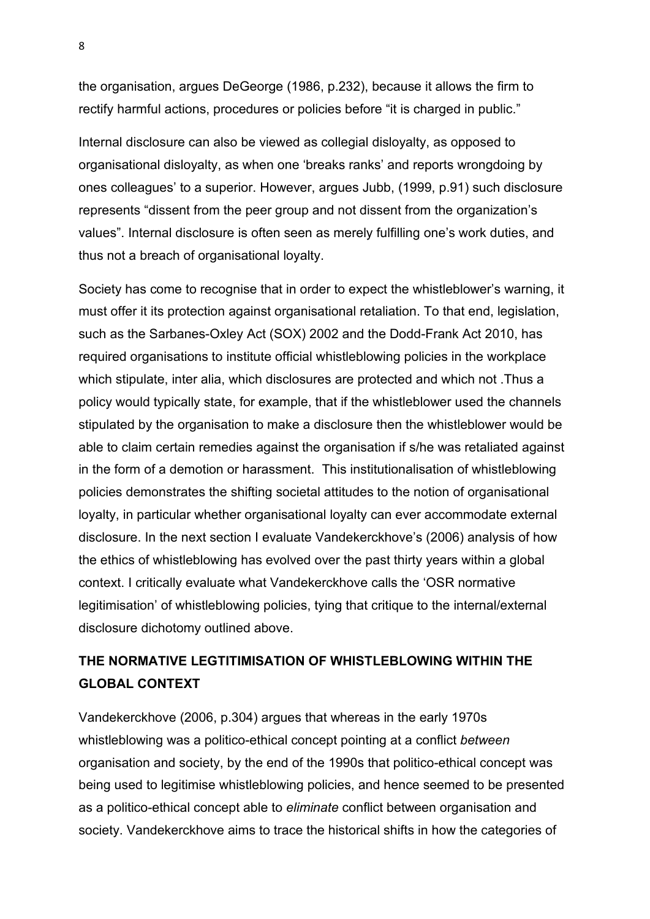the organisation, argues DeGeorge (1986, p.232), because it allows the firm to rectify harmful actions, procedures or policies before "it is charged in public."

Internal disclosure can also be viewed as collegial disloyalty, as opposed to organisational disloyalty, as when one 'breaks ranks' and reports wrongdoing by ones colleagues' to a superior. However, argues Jubb, (1999, p.91) such disclosure represents "dissent from the peer group and not dissent from the organization's values". Internal disclosure is often seen as merely fulfilling one's work duties, and thus not a breach of organisational loyalty.

Society has come to recognise that in order to expect the whistleblower's warning, it must offer it its protection against organisational retaliation. To that end, legislation, such as the Sarbanes-Oxley Act (SOX) 2002 and the Dodd-Frank Act 2010, has required organisations to institute official whistleblowing policies in the workplace which stipulate, inter alia, which disclosures are protected and which not .Thus a policy would typically state, for example, that if the whistleblower used the channels stipulated by the organisation to make a disclosure then the whistleblower would be able to claim certain remedies against the organisation if s/he was retaliated against in the form of a demotion or harassment. This institutionalisation of whistleblowing policies demonstrates the shifting societal attitudes to the notion of organisational loyalty, in particular whether organisational loyalty can ever accommodate external disclosure. In the next section I evaluate Vandekerckhove's (2006) analysis of how the ethics of whistleblowing has evolved over the past thirty years within a global context. I critically evaluate what Vandekerckhove calls the 'OSR normative legitimisation' of whistleblowing policies, tying that critique to the internal/external disclosure dichotomy outlined above.

### **THE NORMATIVE LEGTITIMISATION OF WHISTLEBLOWING WITHIN THE GLOBAL CONTEXT**

Vandekerckhove (2006, p.304) argues that whereas in the early 1970s whistleblowing was a politico-ethical concept pointing at a conflict *between* organisation and society, by the end of the 1990s that politico-ethical concept was being used to legitimise whistleblowing policies, and hence seemed to be presented as a politico-ethical concept able to *eliminate* conflict between organisation and society. Vandekerckhove aims to trace the historical shifts in how the categories of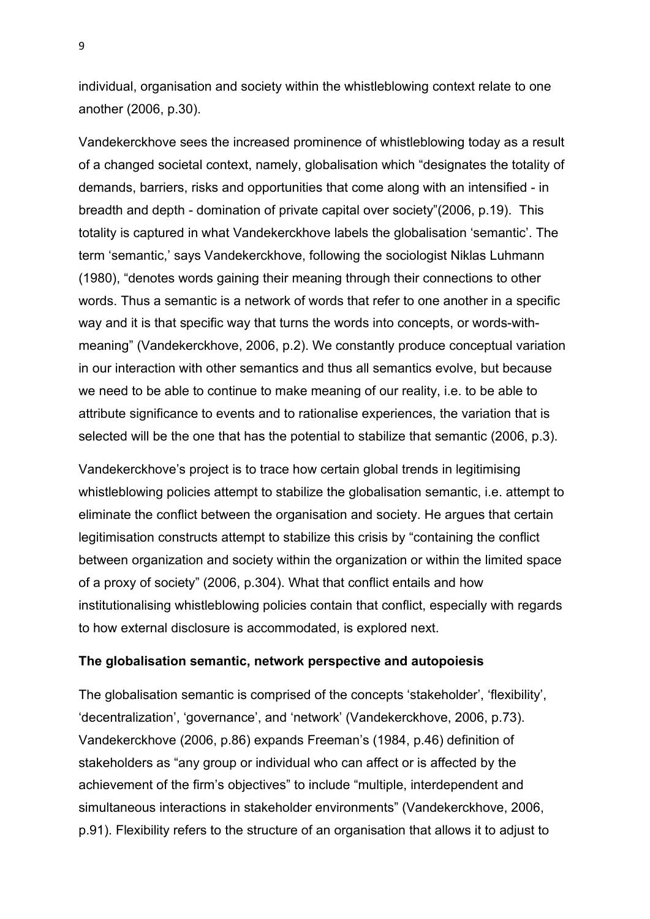individual, organisation and society within the whistleblowing context relate to one another (2006, p.30).

Vandekerckhove sees the increased prominence of whistleblowing today as a result of a changed societal context, namely, globalisation which "designates the totality of demands, barriers, risks and opportunities that come along with an intensified - in breadth and depth - domination of private capital over society"(2006, p.19). This totality is captured in what Vandekerckhove labels the globalisation 'semantic'. The term 'semantic,' says Vandekerckhove, following the sociologist Niklas Luhmann (1980), "denotes words gaining their meaning through their connections to other words. Thus a semantic is a network of words that refer to one another in a specific way and it is that specific way that turns the words into concepts, or words-withmeaning" (Vandekerckhove, 2006, p.2). We constantly produce conceptual variation in our interaction with other semantics and thus all semantics evolve, but because we need to be able to continue to make meaning of our reality, i.e. to be able to attribute significance to events and to rationalise experiences, the variation that is selected will be the one that has the potential to stabilize that semantic (2006, p.3).

Vandekerckhove's project is to trace how certain global trends in legitimising whistleblowing policies attempt to stabilize the globalisation semantic, i.e. attempt to eliminate the conflict between the organisation and society. He argues that certain legitimisation constructs attempt to stabilize this crisis by "containing the conflict between organization and society within the organization or within the limited space of a proxy of society" (2006, p.304). What that conflict entails and how institutionalising whistleblowing policies contain that conflict, especially with regards to how external disclosure is accommodated, is explored next.

### **The globalisation semantic, network perspective and autopoiesis**

The globalisation semantic is comprised of the concepts 'stakeholder', 'flexibility', 'decentralization', 'governance', and 'network' (Vandekerckhove, 2006, p.73). Vandekerckhove (2006, p.86) expands Freeman's (1984, p.46) definition of stakeholders as "any group or individual who can affect or is affected by the achievement of the firm's objectives" to include "multiple, interdependent and simultaneous interactions in stakeholder environments" (Vandekerckhove, 2006, p.91). Flexibility refers to the structure of an organisation that allows it to adjust to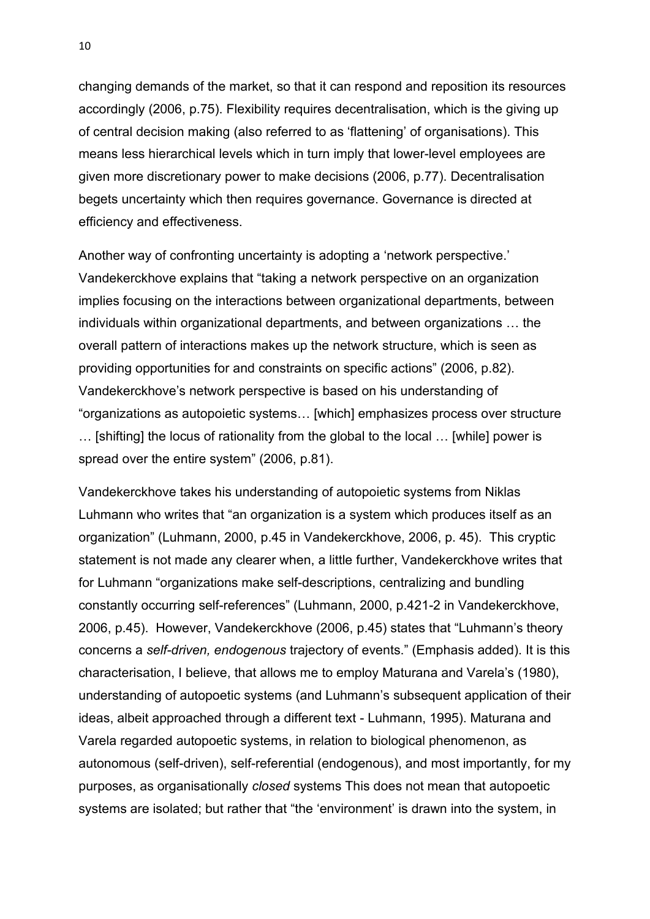changing demands of the market, so that it can respond and reposition its resources accordingly (2006, p.75). Flexibility requires decentralisation, which is the giving up of central decision making (also referred to as 'flattening' of organisations). This means less hierarchical levels which in turn imply that lower-level employees are given more discretionary power to make decisions (2006, p.77). Decentralisation begets uncertainty which then requires governance. Governance is directed at efficiency and effectiveness.

Another way of confronting uncertainty is adopting a 'network perspective.' Vandekerckhove explains that "taking a network perspective on an organization implies focusing on the interactions between organizational departments, between individuals within organizational departments, and between organizations … the overall pattern of interactions makes up the network structure, which is seen as providing opportunities for and constraints on specific actions" (2006, p.82). Vandekerckhove's network perspective is based on his understanding of "organizations as autopoietic systems… [which] emphasizes process over structure … [shifting] the locus of rationality from the global to the local … [while] power is spread over the entire system" (2006, p.81).

Vandekerckhove takes his understanding of autopoietic systems from Niklas Luhmann who writes that "an organization is a system which produces itself as an organization" (Luhmann, 2000, p.45 in Vandekerckhove, 2006, p. 45). This cryptic statement is not made any clearer when, a little further, Vandekerckhove writes that for Luhmann "organizations make self-descriptions, centralizing and bundling constantly occurring self-references" (Luhmann, 2000, p.421-2 in Vandekerckhove, 2006, p.45). However, Vandekerckhove (2006, p.45) states that "Luhmann's theory concerns a *self-driven, endogenous* trajectory of events." (Emphasis added). It is this characterisation, I believe, that allows me to employ Maturana and Varela's (1980), understanding of autopoetic systems (and Luhmann's subsequent application of their ideas, albeit approached through a different text - Luhmann, 1995). Maturana and Varela regarded autopoetic systems, in relation to biological phenomenon, as autonomous (self-driven), self-referential (endogenous), and most importantly, for my purposes, as organisationally *closed* systems This does not mean that autopoetic systems are isolated; but rather that "the 'environment' is drawn into the system, in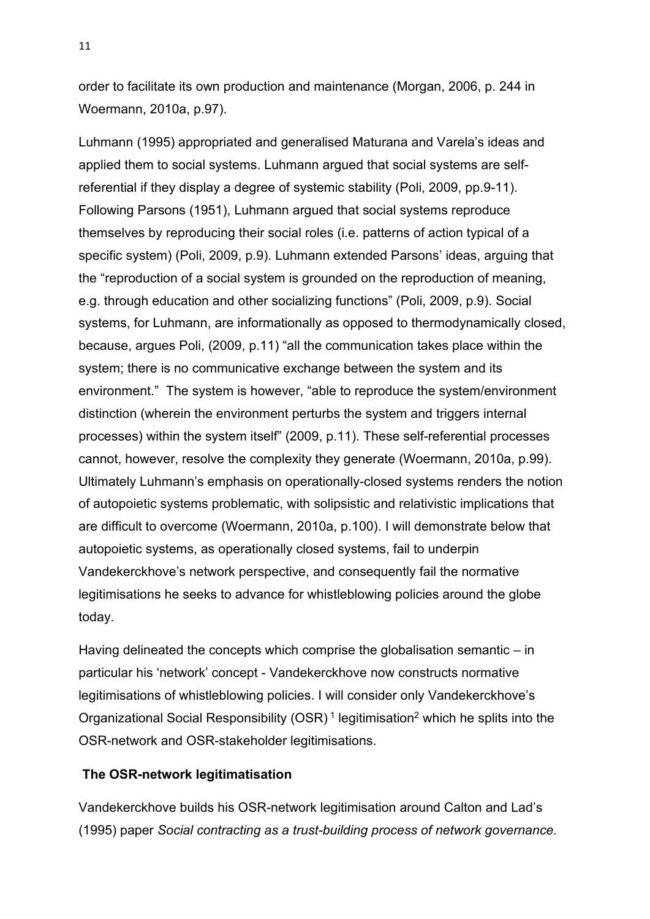order to facilitate its own production and maintenance (Morgan, 2006, p. 244 in Woermann, 2010a, p.97).

Luhmann (1995) appropriated and generalised Maturana and Varela's ideas and applied them to social systems. Luhmann argued that social systems are selfreferential if they display a degree of systemic stability (Poli, 2009, pp.9-11). Following Parsons (1951), Luhmann argued that social systems reproduce themselves by reproducing their social roles (i.e. patterns of action typical of a specific system) (Poli, 2009, p.9). Luhmann extended Parsons' ideas, arguing that the "reproduction of a social system is grounded on the reproduction of meaning, e.g. through education and other socializing functions" (Poli, 2009, p.9). Social systems, for Luhmann, are informationally as opposed to thermodynamically closed, because, argues Poli, (2009, p.11) "all the communication takes place within the system; there is no communicative exchange between the system and its environment." The system is however, "able to reproduce the system/environment distinction (wherein the environment perturbs the system and triggers internal processes) within the system itself" (2009, p.11). These self-referential processes cannot, however, resolve the complexity they generate (Woermann, 2010a, p.99). Ultimately Luhmann's emphasis on operationally-closed systems renders the notion of autopoietic systems problematic, with solipsistic and relativistic implications that are difficult to overcome (Woermann, 2010a, p.100). I will demonstrate below that autopoietic systems, as operationally closed systems, fail to underpin Vandekerckhove's network perspective, and consequently fail the normative legitimisations he seeks to advance for whistleblowing policies around the globe today.

Having delineated the concepts which comprise the globalisation semantic – in particular his 'network' concept - Vandekerckhove now constructs normative legitimisations of whistleblowing policies. I will consider only Vandekerckhove's Organizational Social Responsibility (OSR) <sup>1</sup> legitimisation2 which he splits into the OSR-network and OSR-stakeholder legitimisations.

### **The OSR-network legitimatisation**

Vandekerckhove builds his OSR-network legitimisation around Calton and Lad's (1995) paper *Social contracting as a trust-building process of network governance.*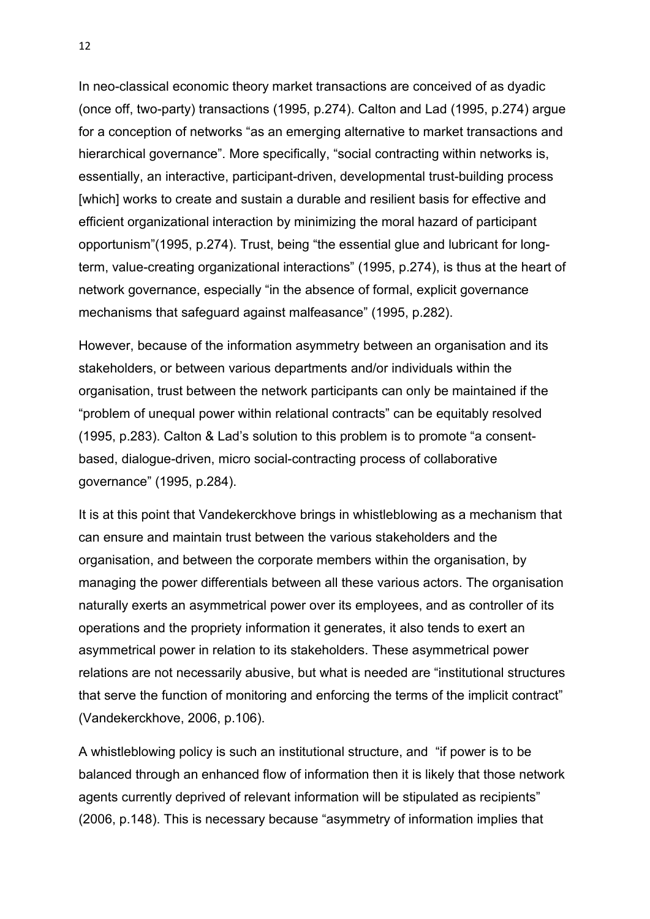In neo-classical economic theory market transactions are conceived of as dyadic (once off, two-party) transactions (1995, p.274). Calton and Lad (1995, p.274) argue for a conception of networks "as an emerging alternative to market transactions and hierarchical governance". More specifically, "social contracting within networks is, essentially, an interactive, participant-driven, developmental trust-building process [which] works to create and sustain a durable and resilient basis for effective and efficient organizational interaction by minimizing the moral hazard of participant opportunism"(1995, p.274). Trust, being "the essential glue and lubricant for longterm, value-creating organizational interactions" (1995, p.274), is thus at the heart of network governance, especially "in the absence of formal, explicit governance mechanisms that safeguard against malfeasance" (1995, p.282).

However, because of the information asymmetry between an organisation and its stakeholders, or between various departments and/or individuals within the organisation, trust between the network participants can only be maintained if the "problem of unequal power within relational contracts" can be equitably resolved (1995, p.283). Calton & Lad's solution to this problem is to promote "a consentbased, dialogue-driven, micro social-contracting process of collaborative governance" (1995, p.284).

It is at this point that Vandekerckhove brings in whistleblowing as a mechanism that can ensure and maintain trust between the various stakeholders and the organisation, and between the corporate members within the organisation, by managing the power differentials between all these various actors. The organisation naturally exerts an asymmetrical power over its employees, and as controller of its operations and the propriety information it generates, it also tends to exert an asymmetrical power in relation to its stakeholders. These asymmetrical power relations are not necessarily abusive, but what is needed are "institutional structures that serve the function of monitoring and enforcing the terms of the implicit contract" (Vandekerckhove, 2006, p.106).

A whistleblowing policy is such an institutional structure, and "if power is to be balanced through an enhanced flow of information then it is likely that those network agents currently deprived of relevant information will be stipulated as recipients" (2006, p.148). This is necessary because "asymmetry of information implies that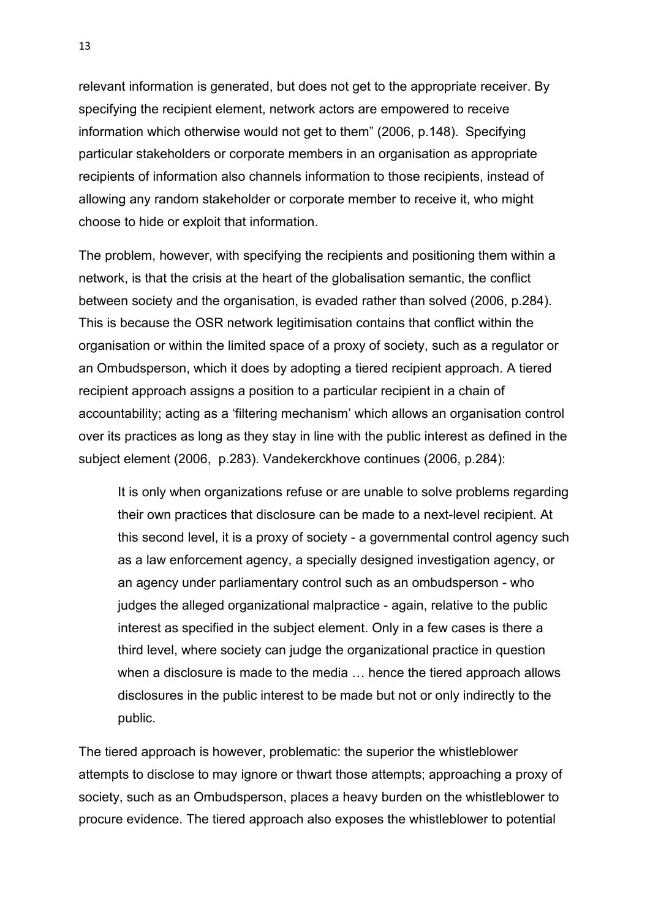relevant information is generated, but does not get to the appropriate receiver. By specifying the recipient element, network actors are empowered to receive information which otherwise would not get to them" (2006, p.148). Specifying particular stakeholders or corporate members in an organisation as appropriate recipients of information also channels information to those recipients, instead of allowing any random stakeholder or corporate member to receive it, who might choose to hide or exploit that information.

The problem, however, with specifying the recipients and positioning them within a network, is that the crisis at the heart of the globalisation semantic, the conflict between society and the organisation, is evaded rather than solved (2006, p.284). This is because the OSR network legitimisation contains that conflict within the organisation or within the limited space of a proxy of society, such as a regulator or an Ombudsperson, which it does by adopting a tiered recipient approach. A tiered recipient approach assigns a position to a particular recipient in a chain of accountability; acting as a 'filtering mechanism' which allows an organisation control over its practices as long as they stay in line with the public interest as defined in the subject element (2006, p.283). Vandekerckhove continues (2006, p.284):

It is only when organizations refuse or are unable to solve problems regarding their own practices that disclosure can be made to a next-level recipient. At this second level, it is a proxy of society - a governmental control agency such as a law enforcement agency, a specially designed investigation agency, or an agency under parliamentary control such as an ombudsperson - who judges the alleged organizational malpractice - again, relative to the public interest as specified in the subject element. Only in a few cases is there a third level, where society can judge the organizational practice in question when a disclosure is made to the media … hence the tiered approach allows disclosures in the public interest to be made but not or only indirectly to the public.

The tiered approach is however, problematic: the superior the whistleblower attempts to disclose to may ignore or thwart those attempts; approaching a proxy of society, such as an Ombudsperson, places a heavy burden on the whistleblower to procure evidence. The tiered approach also exposes the whistleblower to potential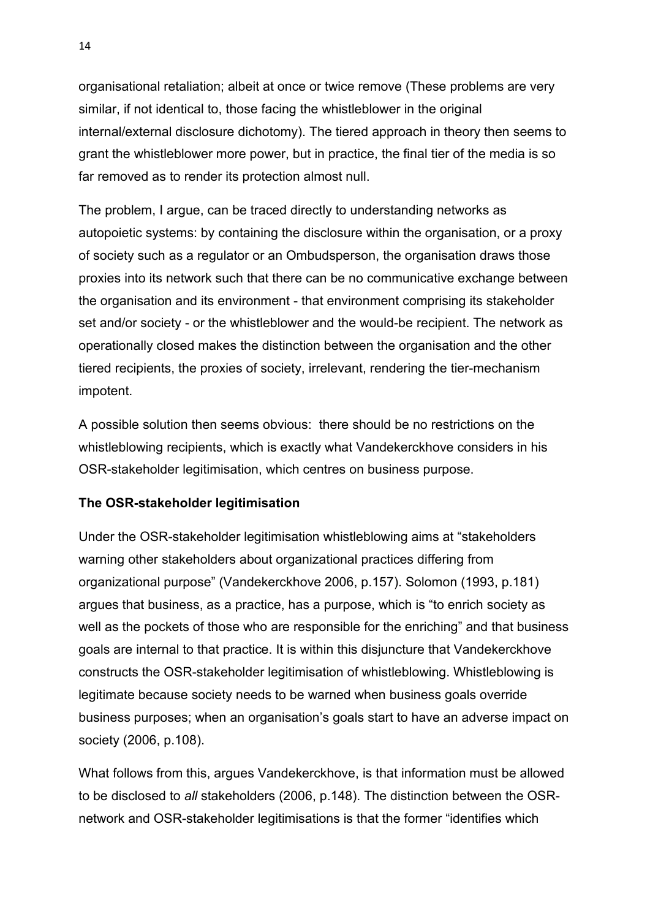organisational retaliation; albeit at once or twice remove (These problems are very similar, if not identical to, those facing the whistleblower in the original internal/external disclosure dichotomy). The tiered approach in theory then seems to grant the whistleblower more power, but in practice, the final tier of the media is so far removed as to render its protection almost null.

The problem, I argue, can be traced directly to understanding networks as autopoietic systems: by containing the disclosure within the organisation, or a proxy of society such as a regulator or an Ombudsperson, the organisation draws those proxies into its network such that there can be no communicative exchange between the organisation and its environment - that environment comprising its stakeholder set and/or society - or the whistleblower and the would-be recipient. The network as operationally closed makes the distinction between the organisation and the other tiered recipients, the proxies of society, irrelevant, rendering the tier-mechanism impotent.

A possible solution then seems obvious: there should be no restrictions on the whistleblowing recipients, which is exactly what Vandekerckhove considers in his OSR-stakeholder legitimisation, which centres on business purpose.

### **The OSR-stakeholder legitimisation**

Under the OSR-stakeholder legitimisation whistleblowing aims at "stakeholders warning other stakeholders about organizational practices differing from organizational purpose" (Vandekerckhove 2006, p.157). Solomon (1993, p.181) argues that business, as a practice, has a purpose, which is "to enrich society as well as the pockets of those who are responsible for the enriching" and that business goals are internal to that practice. It is within this disjuncture that Vandekerckhove constructs the OSR-stakeholder legitimisation of whistleblowing. Whistleblowing is legitimate because society needs to be warned when business goals override business purposes; when an organisation's goals start to have an adverse impact on society (2006, p.108).

What follows from this, argues Vandekerckhove, is that information must be allowed to be disclosed to *all* stakeholders (2006, p.148). The distinction between the OSRnetwork and OSR-stakeholder legitimisations is that the former "identifies which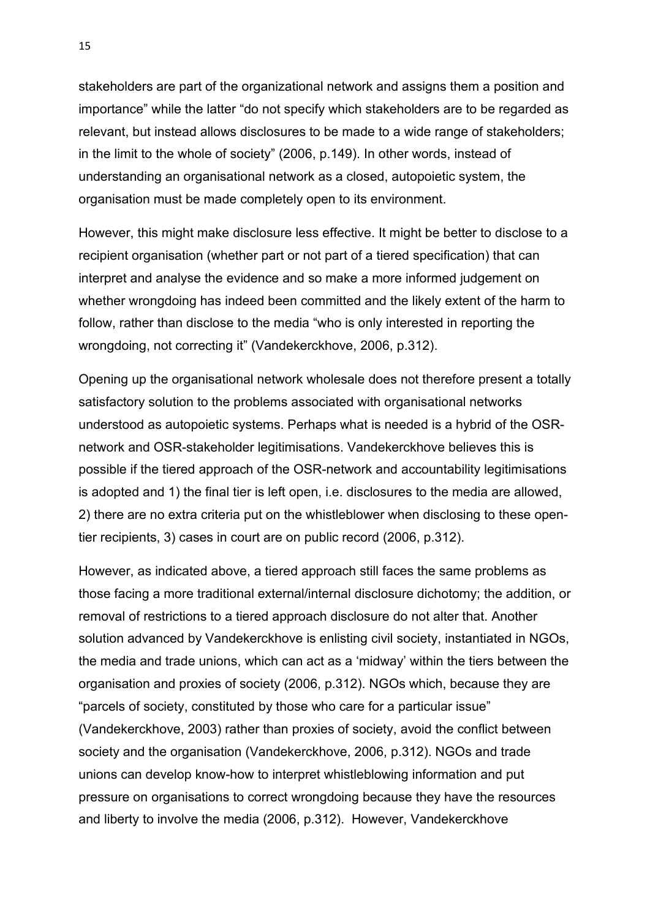stakeholders are part of the organizational network and assigns them a position and importance" while the latter "do not specify which stakeholders are to be regarded as relevant, but instead allows disclosures to be made to a wide range of stakeholders; in the limit to the whole of society" (2006, p.149). In other words, instead of understanding an organisational network as a closed, autopoietic system, the organisation must be made completely open to its environment.

However, this might make disclosure less effective. It might be better to disclose to a recipient organisation (whether part or not part of a tiered specification) that can interpret and analyse the evidence and so make a more informed judgement on whether wrongdoing has indeed been committed and the likely extent of the harm to follow, rather than disclose to the media "who is only interested in reporting the wrongdoing, not correcting it" (Vandekerckhove, 2006, p.312).

Opening up the organisational network wholesale does not therefore present a totally satisfactory solution to the problems associated with organisational networks understood as autopoietic systems. Perhaps what is needed is a hybrid of the OSRnetwork and OSR-stakeholder legitimisations. Vandekerckhove believes this is possible if the tiered approach of the OSR-network and accountability legitimisations is adopted and 1) the final tier is left open, i.e. disclosures to the media are allowed, 2) there are no extra criteria put on the whistleblower when disclosing to these opentier recipients, 3) cases in court are on public record (2006, p.312).

However, as indicated above, a tiered approach still faces the same problems as those facing a more traditional external/internal disclosure dichotomy; the addition, or removal of restrictions to a tiered approach disclosure do not alter that. Another solution advanced by Vandekerckhove is enlisting civil society, instantiated in NGOs, the media and trade unions, which can act as a 'midway' within the tiers between the organisation and proxies of society (2006, p.312). NGOs which, because they are "parcels of society, constituted by those who care for a particular issue" (Vandekerckhove, 2003) rather than proxies of society, avoid the conflict between society and the organisation (Vandekerckhove, 2006, p.312). NGOs and trade unions can develop know-how to interpret whistleblowing information and put pressure on organisations to correct wrongdoing because they have the resources and liberty to involve the media (2006, p.312). However, Vandekerckhove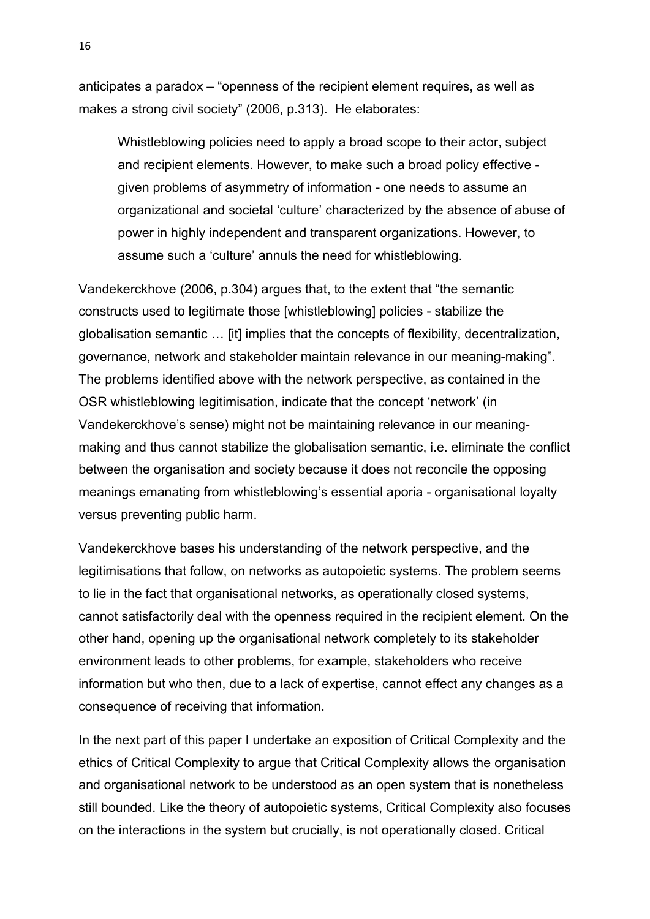anticipates a paradox – "openness of the recipient element requires, as well as makes a strong civil society" (2006, p.313). He elaborates:

Whistleblowing policies need to apply a broad scope to their actor, subject and recipient elements. However, to make such a broad policy effective given problems of asymmetry of information - one needs to assume an organizational and societal 'culture' characterized by the absence of abuse of power in highly independent and transparent organizations. However, to assume such a 'culture' annuls the need for whistleblowing.

Vandekerckhove (2006, p.304) argues that, to the extent that "the semantic constructs used to legitimate those [whistleblowing] policies - stabilize the globalisation semantic … [it] implies that the concepts of flexibility, decentralization, governance, network and stakeholder maintain relevance in our meaning-making". The problems identified above with the network perspective, as contained in the OSR whistleblowing legitimisation, indicate that the concept 'network' (in Vandekerckhove's sense) might not be maintaining relevance in our meaningmaking and thus cannot stabilize the globalisation semantic, i.e. eliminate the conflict between the organisation and society because it does not reconcile the opposing meanings emanating from whistleblowing's essential aporia - organisational loyalty versus preventing public harm.

Vandekerckhove bases his understanding of the network perspective, and the legitimisations that follow, on networks as autopoietic systems. The problem seems to lie in the fact that organisational networks, as operationally closed systems, cannot satisfactorily deal with the openness required in the recipient element. On the other hand, opening up the organisational network completely to its stakeholder environment leads to other problems, for example, stakeholders who receive information but who then, due to a lack of expertise, cannot effect any changes as a consequence of receiving that information.

In the next part of this paper I undertake an exposition of Critical Complexity and the ethics of Critical Complexity to argue that Critical Complexity allows the organisation and organisational network to be understood as an open system that is nonetheless still bounded. Like the theory of autopoietic systems, Critical Complexity also focuses on the interactions in the system but crucially, is not operationally closed. Critical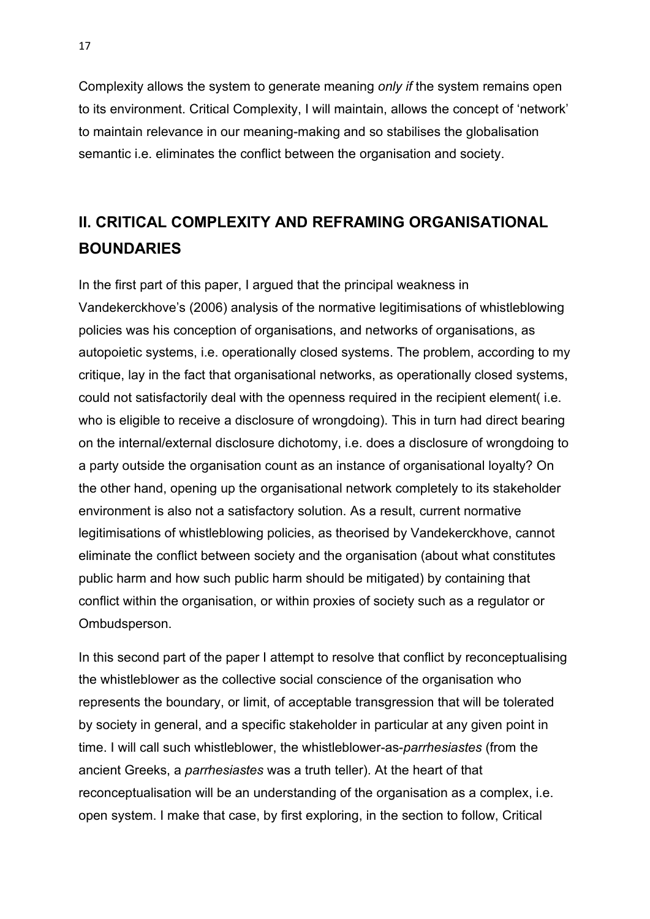Complexity allows the system to generate meaning *only if* the system remains open to its environment. Critical Complexity, I will maintain, allows the concept of 'network' to maintain relevance in our meaning-making and so stabilises the globalisation semantic i.e. eliminates the conflict between the organisation and society.

## **II. CRITICAL COMPLEXITY AND REFRAMING ORGANISATIONAL BOUNDARIES**

In the first part of this paper, I argued that the principal weakness in Vandekerckhove's (2006) analysis of the normative legitimisations of whistleblowing policies was his conception of organisations, and networks of organisations, as autopoietic systems, i.e. operationally closed systems. The problem, according to my critique, lay in the fact that organisational networks, as operationally closed systems, could not satisfactorily deal with the openness required in the recipient element( i.e. who is eligible to receive a disclosure of wrongdoing). This in turn had direct bearing on the internal/external disclosure dichotomy, i.e. does a disclosure of wrongdoing to a party outside the organisation count as an instance of organisational loyalty? On the other hand, opening up the organisational network completely to its stakeholder environment is also not a satisfactory solution. As a result, current normative legitimisations of whistleblowing policies, as theorised by Vandekerckhove, cannot eliminate the conflict between society and the organisation (about what constitutes public harm and how such public harm should be mitigated) by containing that conflict within the organisation, or within proxies of society such as a regulator or Ombudsperson.

In this second part of the paper I attempt to resolve that conflict by reconceptualising the whistleblower as the collective social conscience of the organisation who represents the boundary, or limit, of acceptable transgression that will be tolerated by society in general, and a specific stakeholder in particular at any given point in time. I will call such whistleblower, the whistleblower-as-*parrhesiastes* (from the ancient Greeks, a *parrhesiastes* was a truth teller). At the heart of that reconceptualisation will be an understanding of the organisation as a complex, i.e. open system. I make that case, by first exploring, in the section to follow, Critical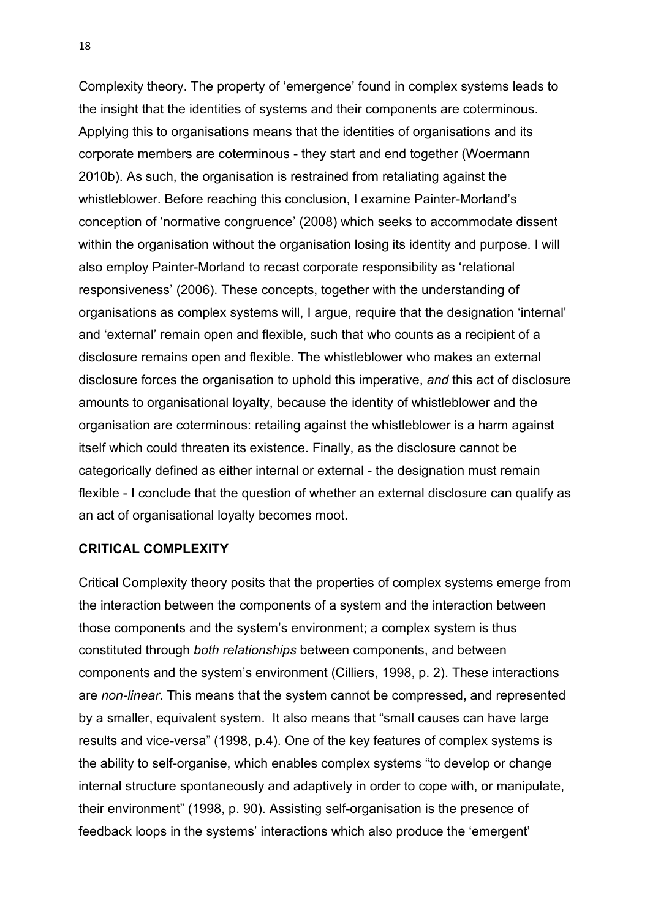Complexity theory. The property of 'emergence' found in complex systems leads to the insight that the identities of systems and their components are coterminous. Applying this to organisations means that the identities of organisations and its corporate members are coterminous - they start and end together (Woermann 2010b). As such, the organisation is restrained from retaliating against the whistleblower. Before reaching this conclusion, I examine Painter-Morland's conception of 'normative congruence' (2008) which seeks to accommodate dissent within the organisation without the organisation losing its identity and purpose. I will also employ Painter-Morland to recast corporate responsibility as 'relational responsiveness' (2006). These concepts, together with the understanding of organisations as complex systems will, I argue, require that the designation 'internal' and 'external' remain open and flexible, such that who counts as a recipient of a disclosure remains open and flexible. The whistleblower who makes an external disclosure forces the organisation to uphold this imperative, *and* this act of disclosure amounts to organisational loyalty, because the identity of whistleblower and the organisation are coterminous: retailing against the whistleblower is a harm against itself which could threaten its existence. Finally, as the disclosure cannot be categorically defined as either internal or external - the designation must remain flexible - I conclude that the question of whether an external disclosure can qualify as an act of organisational loyalty becomes moot.

#### **CRITICAL COMPLEXITY**

Critical Complexity theory posits that the properties of complex systems emerge from the interaction between the components of a system and the interaction between those components and the system's environment; a complex system is thus constituted through *both relationships* between components, and between components and the system's environment (Cilliers, 1998, p. 2). These interactions are *non-linear*. This means that the system cannot be compressed, and represented by a smaller, equivalent system. It also means that "small causes can have large results and vice-versa" (1998, p.4). One of the key features of complex systems is the ability to self-organise, which enables complex systems "to develop or change internal structure spontaneously and adaptively in order to cope with, or manipulate, their environment" (1998, p. 90). Assisting self-organisation is the presence of feedback loops in the systems' interactions which also produce the 'emergent'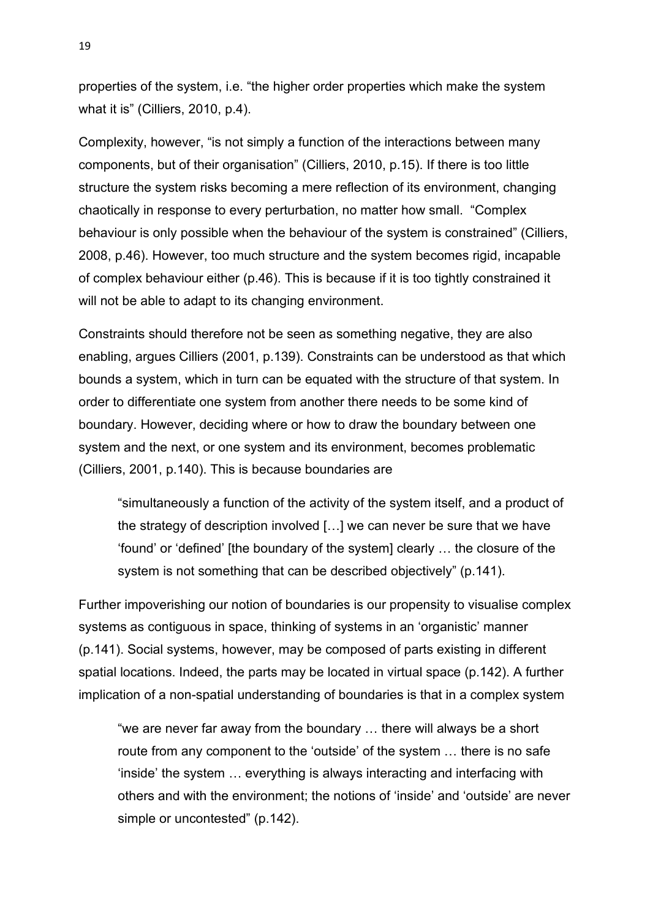properties of the system, i.e. "the higher order properties which make the system what it is" (Cilliers, 2010, p.4).

Complexity, however, "is not simply a function of the interactions between many components, but of their organisation" (Cilliers, 2010, p.15). If there is too little structure the system risks becoming a mere reflection of its environment, changing chaotically in response to every perturbation, no matter how small. "Complex behaviour is only possible when the behaviour of the system is constrained" (Cilliers, 2008, p.46). However, too much structure and the system becomes rigid, incapable of complex behaviour either (p.46). This is because if it is too tightly constrained it will not be able to adapt to its changing environment.

Constraints should therefore not be seen as something negative, they are also enabling, argues Cilliers (2001, p.139). Constraints can be understood as that which bounds a system, which in turn can be equated with the structure of that system. In order to differentiate one system from another there needs to be some kind of boundary. However, deciding where or how to draw the boundary between one system and the next, or one system and its environment, becomes problematic (Cilliers, 2001, p.140). This is because boundaries are

"simultaneously a function of the activity of the system itself, and a product of the strategy of description involved […] we can never be sure that we have 'found' or 'defined' [the boundary of the system] clearly … the closure of the system is not something that can be described objectively" (p.141).

Further impoverishing our notion of boundaries is our propensity to visualise complex systems as contiguous in space, thinking of systems in an 'organistic' manner (p.141). Social systems, however, may be composed of parts existing in different spatial locations. Indeed, the parts may be located in virtual space (p.142). A further implication of a non-spatial understanding of boundaries is that in a complex system

"we are never far away from the boundary … there will always be a short route from any component to the 'outside' of the system … there is no safe 'inside' the system … everything is always interacting and interfacing with others and with the environment; the notions of 'inside' and 'outside' are never simple or uncontested" (p.142).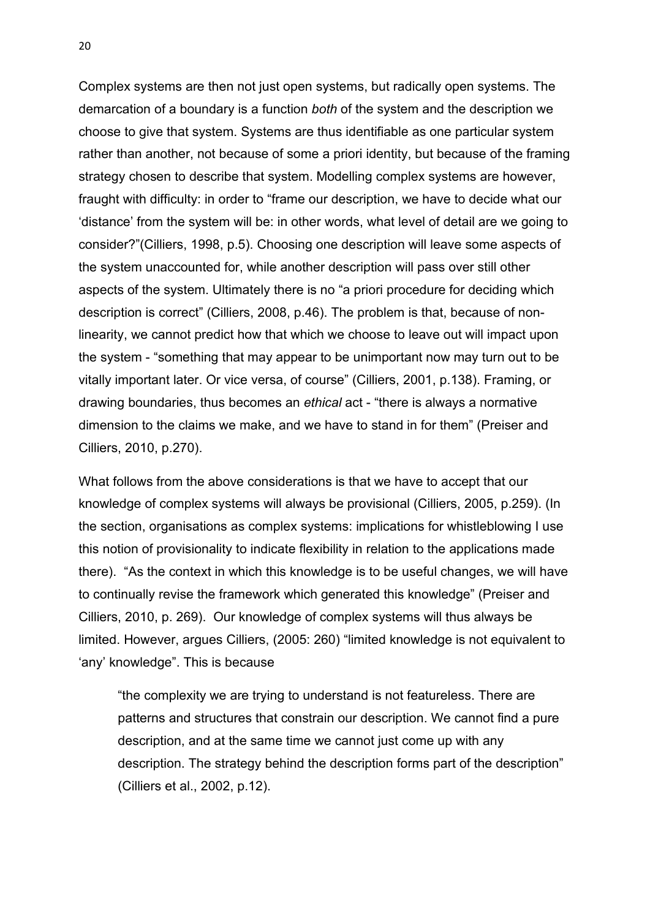Complex systems are then not just open systems, but radically open systems. The demarcation of a boundary is a function *both* of the system and the description we choose to give that system. Systems are thus identifiable as one particular system rather than another, not because of some a priori identity, but because of the framing strategy chosen to describe that system. Modelling complex systems are however, fraught with difficulty: in order to "frame our description, we have to decide what our 'distance' from the system will be: in other words, what level of detail are we going to consider?"(Cilliers, 1998, p.5). Choosing one description will leave some aspects of the system unaccounted for, while another description will pass over still other aspects of the system. Ultimately there is no "a priori procedure for deciding which description is correct" (Cilliers, 2008, p.46). The problem is that, because of nonlinearity, we cannot predict how that which we choose to leave out will impact upon the system - "something that may appear to be unimportant now may turn out to be vitally important later. Or vice versa, of course" (Cilliers, 2001, p.138). Framing, or drawing boundaries, thus becomes an *ethical* act - "there is always a normative dimension to the claims we make, and we have to stand in for them" (Preiser and Cilliers, 2010, p.270).

What follows from the above considerations is that we have to accept that our knowledge of complex systems will always be provisional (Cilliers, 2005, p.259). (In the section, organisations as complex systems: implications for whistleblowing I use this notion of provisionality to indicate flexibility in relation to the applications made there). "As the context in which this knowledge is to be useful changes, we will have to continually revise the framework which generated this knowledge" (Preiser and Cilliers, 2010, p. 269). Our knowledge of complex systems will thus always be limited. However, argues Cilliers, (2005: 260) "limited knowledge is not equivalent to 'any' knowledge". This is because

"the complexity we are trying to understand is not featureless. There are patterns and structures that constrain our description. We cannot find a pure description, and at the same time we cannot just come up with any description. The strategy behind the description forms part of the description" (Cilliers et al., 2002, p.12).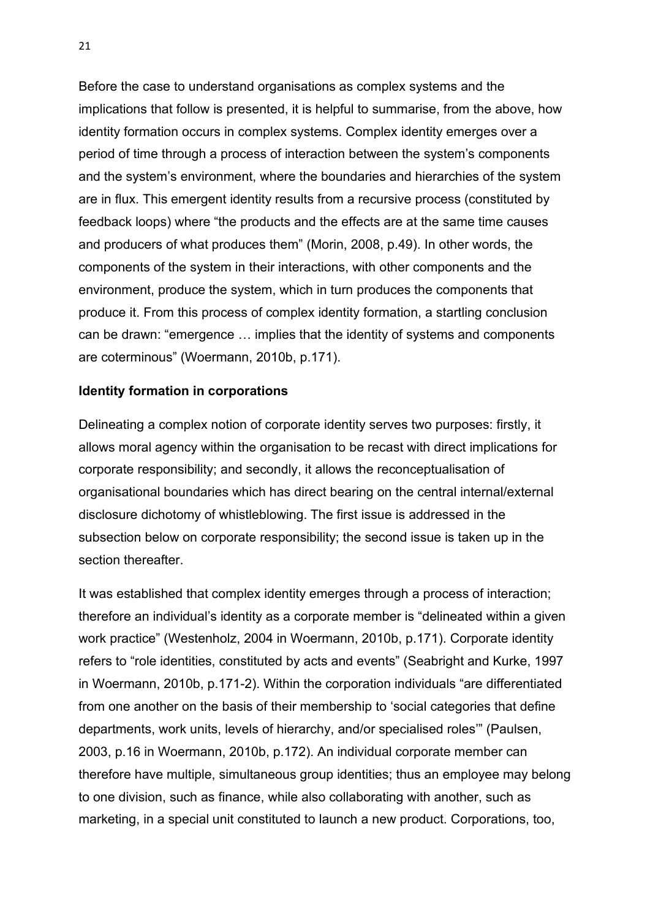Before the case to understand organisations as complex systems and the implications that follow is presented, it is helpful to summarise, from the above, how identity formation occurs in complex systems. Complex identity emerges over a period of time through a process of interaction between the system's components and the system's environment, where the boundaries and hierarchies of the system are in flux. This emergent identity results from a recursive process (constituted by feedback loops) where "the products and the effects are at the same time causes and producers of what produces them" (Morin, 2008, p.49). In other words, the components of the system in their interactions, with other components and the environment, produce the system, which in turn produces the components that produce it. From this process of complex identity formation, a startling conclusion can be drawn: "emergence … implies that the identity of systems and components are coterminous" (Woermann, 2010b, p.171).

### **Identity formation in corporations**

Delineating a complex notion of corporate identity serves two purposes: firstly, it allows moral agency within the organisation to be recast with direct implications for corporate responsibility; and secondly, it allows the reconceptualisation of organisational boundaries which has direct bearing on the central internal/external disclosure dichotomy of whistleblowing. The first issue is addressed in the subsection below on corporate responsibility; the second issue is taken up in the section thereafter.

It was established that complex identity emerges through a process of interaction; therefore an individual's identity as a corporate member is "delineated within a given work practice" (Westenholz, 2004 in Woermann, 2010b, p.171). Corporate identity refers to "role identities, constituted by acts and events" (Seabright and Kurke, 1997 in Woermann, 2010b, p.171-2). Within the corporation individuals "are differentiated from one another on the basis of their membership to 'social categories that define departments, work units, levels of hierarchy, and/or specialised roles'" (Paulsen, 2003, p.16 in Woermann, 2010b, p.172). An individual corporate member can therefore have multiple, simultaneous group identities; thus an employee may belong to one division, such as finance, while also collaborating with another, such as marketing, in a special unit constituted to launch a new product. Corporations, too,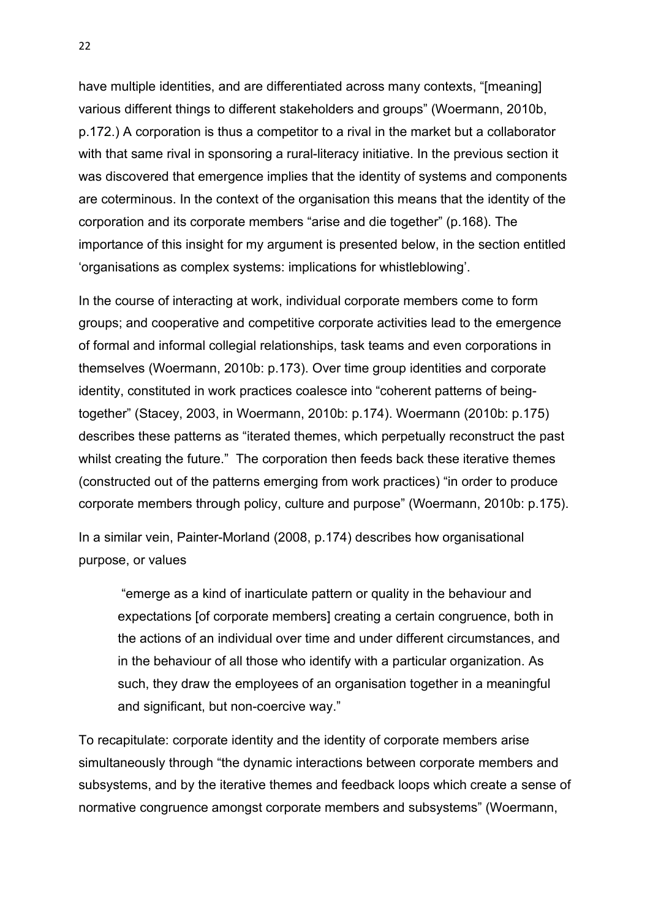have multiple identities, and are differentiated across many contexts, "[meaning] various different things to different stakeholders and groups" (Woermann, 2010b, p.172.) A corporation is thus a competitor to a rival in the market but a collaborator with that same rival in sponsoring a rural-literacy initiative. In the previous section it was discovered that emergence implies that the identity of systems and components are coterminous. In the context of the organisation this means that the identity of the corporation and its corporate members "arise and die together" (p.168). The importance of this insight for my argument is presented below, in the section entitled 'organisations as complex systems: implications for whistleblowing'.

In the course of interacting at work, individual corporate members come to form groups; and cooperative and competitive corporate activities lead to the emergence of formal and informal collegial relationships, task teams and even corporations in themselves (Woermann, 2010b: p.173). Over time group identities and corporate identity, constituted in work practices coalesce into "coherent patterns of beingtogether" (Stacey, 2003, in Woermann, 2010b: p.174). Woermann (2010b: p.175) describes these patterns as "iterated themes, which perpetually reconstruct the past whilst creating the future." The corporation then feeds back these iterative themes (constructed out of the patterns emerging from work practices) "in order to produce corporate members through policy, culture and purpose" (Woermann, 2010b: p.175).

In a similar vein, Painter-Morland (2008, p.174) describes how organisational purpose, or values

"emerge as a kind of inarticulate pattern or quality in the behaviour and expectations [of corporate members] creating a certain congruence, both in the actions of an individual over time and under different circumstances, and in the behaviour of all those who identify with a particular organization. As such, they draw the employees of an organisation together in a meaningful and significant, but non-coercive way."

To recapitulate: corporate identity and the identity of corporate members arise simultaneously through "the dynamic interactions between corporate members and subsystems, and by the iterative themes and feedback loops which create a sense of normative congruence amongst corporate members and subsystems" (Woermann,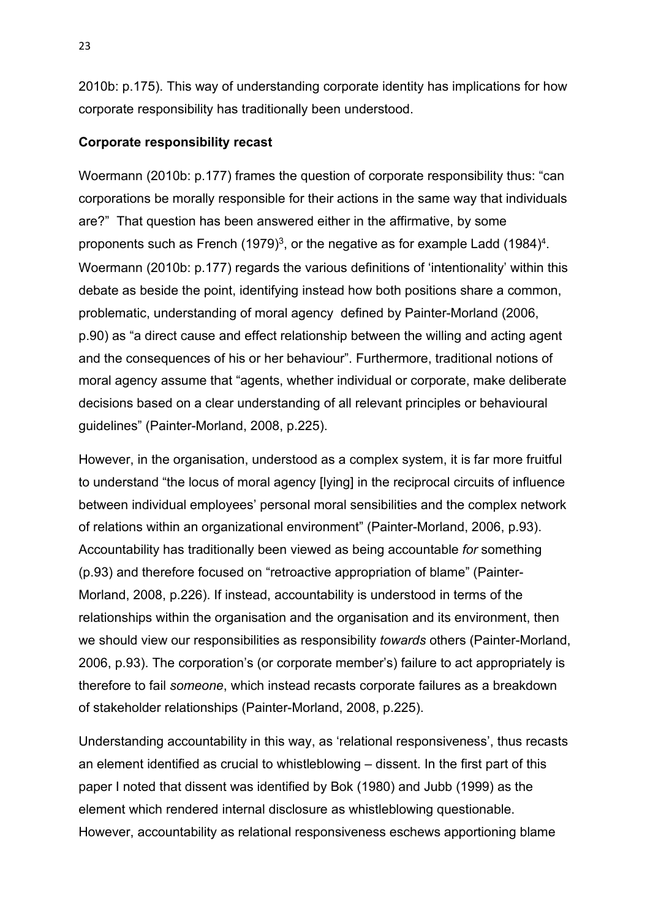2010b: p.175). This way of understanding corporate identity has implications for how corporate responsibility has traditionally been understood.

### **Corporate responsibility recast**

Woermann (2010b: p.177) frames the question of corporate responsibility thus: "can corporations be morally responsible for their actions in the same way that individuals are?" That question has been answered either in the affirmative, by some proponents such as French (1979)<sup>3</sup>, or the negative as for example Ladd (1984)<sup>4</sup>. Woermann (2010b: p.177) regards the various definitions of 'intentionality' within this debate as beside the point, identifying instead how both positions share a common, problematic, understanding of moral agency defined by Painter-Morland (2006, p.90) as "a direct cause and effect relationship between the willing and acting agent and the consequences of his or her behaviour". Furthermore, traditional notions of moral agency assume that "agents, whether individual or corporate, make deliberate decisions based on a clear understanding of all relevant principles or behavioural guidelines" (Painter-Morland, 2008, p.225).

However, in the organisation, understood as a complex system, it is far more fruitful to understand "the locus of moral agency [lying] in the reciprocal circuits of influence between individual employees' personal moral sensibilities and the complex network of relations within an organizational environment" (Painter-Morland, 2006, p.93). Accountability has traditionally been viewed as being accountable *for* something (p.93) and therefore focused on "retroactive appropriation of blame" (Painter-Morland, 2008, p.226). If instead, accountability is understood in terms of the relationships within the organisation and the organisation and its environment, then we should view our responsibilities as responsibility *towards* others (Painter-Morland, 2006, p.93). The corporation's (or corporate member's) failure to act appropriately is therefore to fail *someone*, which instead recasts corporate failures as a breakdown of stakeholder relationships (Painter-Morland, 2008, p.225).

Understanding accountability in this way, as 'relational responsiveness', thus recasts an element identified as crucial to whistleblowing – dissent. In the first part of this paper I noted that dissent was identified by Bok (1980) and Jubb (1999) as the element which rendered internal disclosure as whistleblowing questionable. However, accountability as relational responsiveness eschews apportioning blame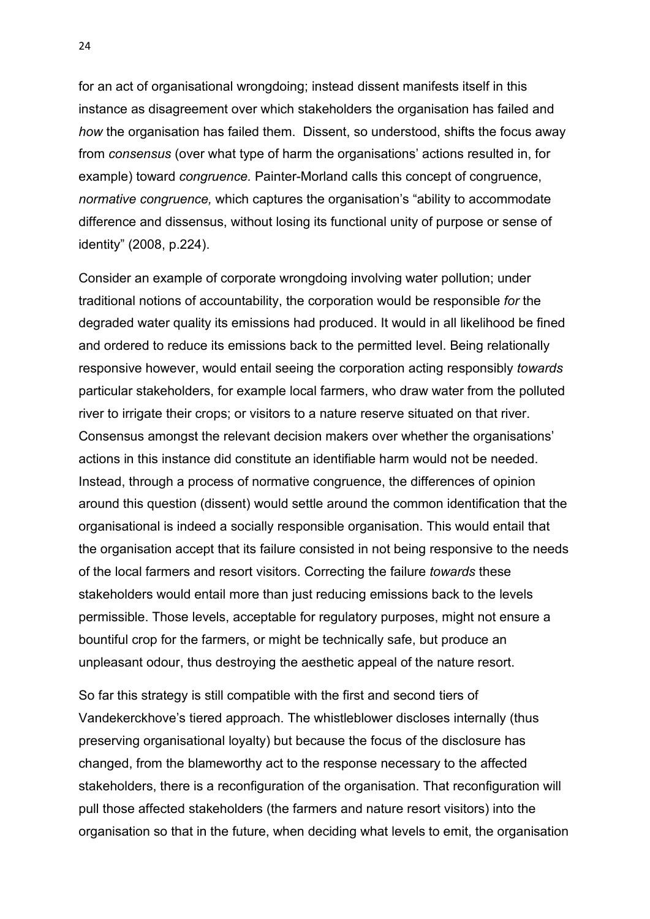for an act of organisational wrongdoing; instead dissent manifests itself in this instance as disagreement over which stakeholders the organisation has failed and *how* the organisation has failed them. Dissent, so understood, shifts the focus away from *consensus* (over what type of harm the organisations' actions resulted in, for example) toward *congruence.* Painter-Morland calls this concept of congruence, *normative congruence,* which captures the organisation's "ability to accommodate difference and dissensus, without losing its functional unity of purpose or sense of identity" (2008, p.224).

Consider an example of corporate wrongdoing involving water pollution; under traditional notions of accountability, the corporation would be responsible *for* the degraded water quality its emissions had produced. It would in all likelihood be fined and ordered to reduce its emissions back to the permitted level. Being relationally responsive however, would entail seeing the corporation acting responsibly *towards*  particular stakeholders, for example local farmers, who draw water from the polluted river to irrigate their crops; or visitors to a nature reserve situated on that river. Consensus amongst the relevant decision makers over whether the organisations' actions in this instance did constitute an identifiable harm would not be needed. Instead, through a process of normative congruence, the differences of opinion around this question (dissent) would settle around the common identification that the organisational is indeed a socially responsible organisation. This would entail that the organisation accept that its failure consisted in not being responsive to the needs of the local farmers and resort visitors. Correcting the failure *towards* these stakeholders would entail more than just reducing emissions back to the levels permissible. Those levels, acceptable for regulatory purposes, might not ensure a bountiful crop for the farmers, or might be technically safe, but produce an unpleasant odour, thus destroying the aesthetic appeal of the nature resort.

So far this strategy is still compatible with the first and second tiers of Vandekerckhove's tiered approach. The whistleblower discloses internally (thus preserving organisational loyalty) but because the focus of the disclosure has changed, from the blameworthy act to the response necessary to the affected stakeholders, there is a reconfiguration of the organisation. That reconfiguration will pull those affected stakeholders (the farmers and nature resort visitors) into the organisation so that in the future, when deciding what levels to emit, the organisation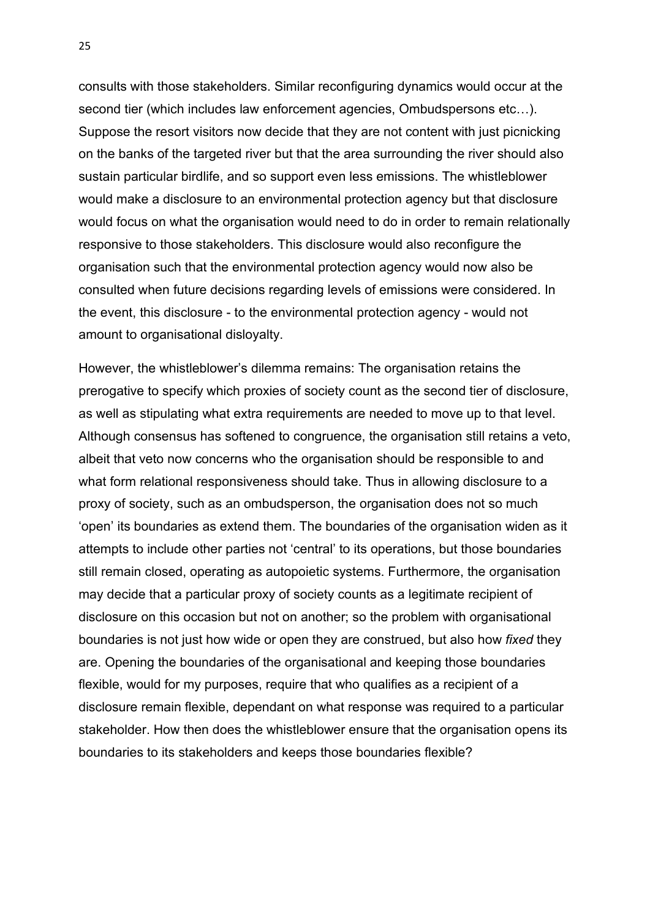consults with those stakeholders. Similar reconfiguring dynamics would occur at the second tier (which includes law enforcement agencies, Ombudspersons etc…). Suppose the resort visitors now decide that they are not content with just picnicking on the banks of the targeted river but that the area surrounding the river should also sustain particular birdlife, and so support even less emissions. The whistleblower would make a disclosure to an environmental protection agency but that disclosure would focus on what the organisation would need to do in order to remain relationally responsive to those stakeholders. This disclosure would also reconfigure the organisation such that the environmental protection agency would now also be consulted when future decisions regarding levels of emissions were considered. In the event, this disclosure - to the environmental protection agency - would not amount to organisational disloyalty.

However, the whistleblower's dilemma remains: The organisation retains the prerogative to specify which proxies of society count as the second tier of disclosure, as well as stipulating what extra requirements are needed to move up to that level. Although consensus has softened to congruence, the organisation still retains a veto, albeit that veto now concerns who the organisation should be responsible to and what form relational responsiveness should take. Thus in allowing disclosure to a proxy of society, such as an ombudsperson, the organisation does not so much 'open' its boundaries as extend them. The boundaries of the organisation widen as it attempts to include other parties not 'central' to its operations, but those boundaries still remain closed, operating as autopoietic systems. Furthermore, the organisation may decide that a particular proxy of society counts as a legitimate recipient of disclosure on this occasion but not on another; so the problem with organisational boundaries is not just how wide or open they are construed, but also how *fixed* they are. Opening the boundaries of the organisational and keeping those boundaries flexible, would for my purposes, require that who qualifies as a recipient of a disclosure remain flexible, dependant on what response was required to a particular stakeholder. How then does the whistleblower ensure that the organisation opens its boundaries to its stakeholders and keeps those boundaries flexible?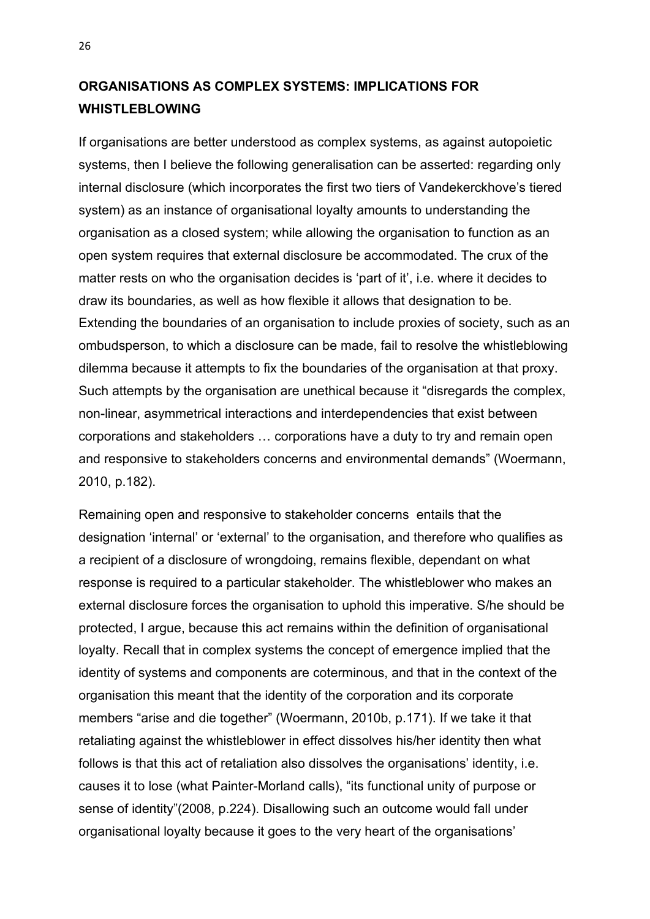### **ORGANISATIONS AS COMPLEX SYSTEMS: IMPLICATIONS FOR WHISTLEBLOWING**

If organisations are better understood as complex systems, as against autopoietic systems, then I believe the following generalisation can be asserted: regarding only internal disclosure (which incorporates the first two tiers of Vandekerckhove's tiered system) as an instance of organisational loyalty amounts to understanding the organisation as a closed system; while allowing the organisation to function as an open system requires that external disclosure be accommodated. The crux of the matter rests on who the organisation decides is 'part of it', i.e. where it decides to draw its boundaries, as well as how flexible it allows that designation to be. Extending the boundaries of an organisation to include proxies of society, such as an ombudsperson, to which a disclosure can be made, fail to resolve the whistleblowing dilemma because it attempts to fix the boundaries of the organisation at that proxy. Such attempts by the organisation are unethical because it "disregards the complex, non-linear, asymmetrical interactions and interdependencies that exist between corporations and stakeholders … corporations have a duty to try and remain open and responsive to stakeholders concerns and environmental demands" (Woermann, 2010, p.182).

Remaining open and responsive to stakeholder concerns entails that the designation 'internal' or 'external' to the organisation, and therefore who qualifies as a recipient of a disclosure of wrongdoing, remains flexible, dependant on what response is required to a particular stakeholder. The whistleblower who makes an external disclosure forces the organisation to uphold this imperative. S/he should be protected, I argue, because this act remains within the definition of organisational loyalty. Recall that in complex systems the concept of emergence implied that the identity of systems and components are coterminous, and that in the context of the organisation this meant that the identity of the corporation and its corporate members "arise and die together" (Woermann, 2010b, p.171). If we take it that retaliating against the whistleblower in effect dissolves his/her identity then what follows is that this act of retaliation also dissolves the organisations' identity, i.e. causes it to lose (what Painter-Morland calls), "its functional unity of purpose or sense of identity"(2008, p.224). Disallowing such an outcome would fall under organisational loyalty because it goes to the very heart of the organisations'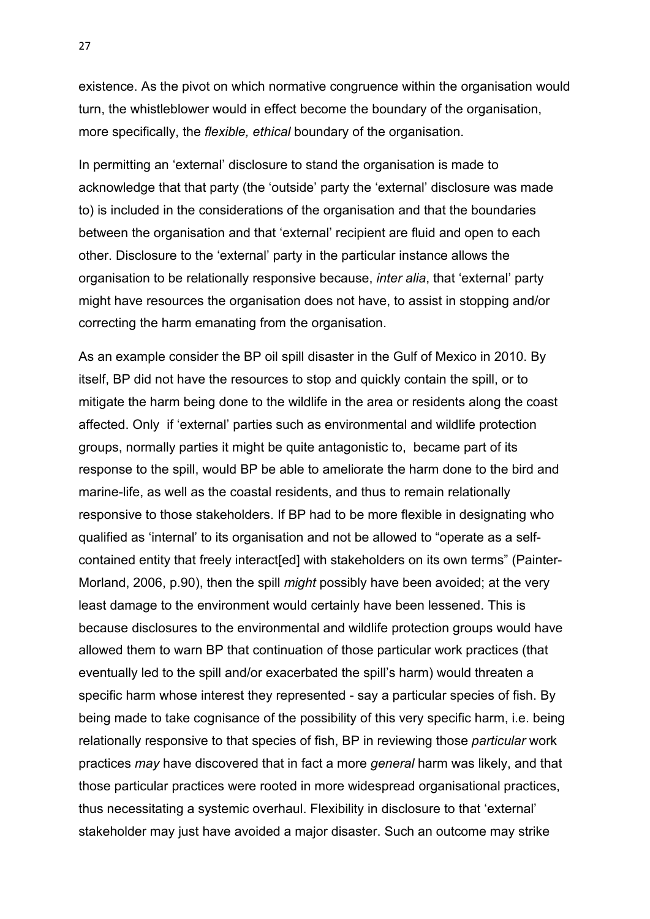existence. As the pivot on which normative congruence within the organisation would turn, the whistleblower would in effect become the boundary of the organisation, more specifically, the *flexible, ethical* boundary of the organisation.

In permitting an 'external' disclosure to stand the organisation is made to acknowledge that that party (the 'outside' party the 'external' disclosure was made to) is included in the considerations of the organisation and that the boundaries between the organisation and that 'external' recipient are fluid and open to each other. Disclosure to the 'external' party in the particular instance allows the organisation to be relationally responsive because, *inter alia*, that 'external' party might have resources the organisation does not have, to assist in stopping and/or correcting the harm emanating from the organisation.

As an example consider the BP oil spill disaster in the Gulf of Mexico in 2010. By itself, BP did not have the resources to stop and quickly contain the spill, or to mitigate the harm being done to the wildlife in the area or residents along the coast affected. Only if 'external' parties such as environmental and wildlife protection groups, normally parties it might be quite antagonistic to, became part of its response to the spill, would BP be able to ameliorate the harm done to the bird and marine-life, as well as the coastal residents, and thus to remain relationally responsive to those stakeholders. If BP had to be more flexible in designating who qualified as 'internal' to its organisation and not be allowed to "operate as a selfcontained entity that freely interact[ed] with stakeholders on its own terms" (Painter-Morland, 2006, p.90), then the spill *might* possibly have been avoided; at the very least damage to the environment would certainly have been lessened. This is because disclosures to the environmental and wildlife protection groups would have allowed them to warn BP that continuation of those particular work practices (that eventually led to the spill and/or exacerbated the spill's harm) would threaten a specific harm whose interest they represented - say a particular species of fish. By being made to take cognisance of the possibility of this very specific harm, i.e. being relationally responsive to that species of fish, BP in reviewing those *particular* work practices *may* have discovered that in fact a more *general* harm was likely, and that those particular practices were rooted in more widespread organisational practices, thus necessitating a systemic overhaul. Flexibility in disclosure to that 'external' stakeholder may just have avoided a major disaster. Such an outcome may strike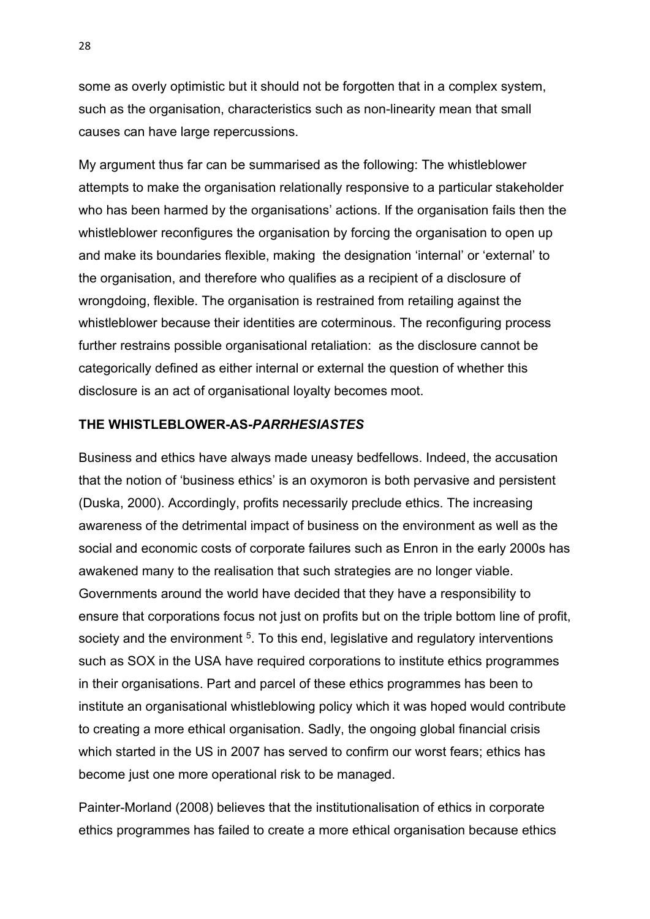some as overly optimistic but it should not be forgotten that in a complex system, such as the organisation, characteristics such as non-linearity mean that small causes can have large repercussions.

My argument thus far can be summarised as the following: The whistleblower attempts to make the organisation relationally responsive to a particular stakeholder who has been harmed by the organisations' actions. If the organisation fails then the whistleblower reconfigures the organisation by forcing the organisation to open up and make its boundaries flexible, making the designation 'internal' or 'external' to the organisation, and therefore who qualifies as a recipient of a disclosure of wrongdoing, flexible. The organisation is restrained from retailing against the whistleblower because their identities are coterminous. The reconfiguring process further restrains possible organisational retaliation: as the disclosure cannot be categorically defined as either internal or external the question of whether this disclosure is an act of organisational loyalty becomes moot.

### **THE WHISTLEBLOWER-AS-***PARRHESIASTES*

Business and ethics have always made uneasy bedfellows. Indeed, the accusation that the notion of 'business ethics' is an oxymoron is both pervasive and persistent (Duska, 2000). Accordingly, profits necessarily preclude ethics. The increasing awareness of the detrimental impact of business on the environment as well as the social and economic costs of corporate failures such as Enron in the early 2000s has awakened many to the realisation that such strategies are no longer viable. Governments around the world have decided that they have a responsibility to ensure that corporations focus not just on profits but on the triple bottom line of profit, society and the environment <sup>5</sup>. To this end, legislative and regulatory interventions such as SOX in the USA have required corporations to institute ethics programmes in their organisations. Part and parcel of these ethics programmes has been to institute an organisational whistleblowing policy which it was hoped would contribute to creating a more ethical organisation. Sadly, the ongoing global financial crisis which started in the US in 2007 has served to confirm our worst fears; ethics has become just one more operational risk to be managed.

Painter-Morland (2008) believes that the institutionalisation of ethics in corporate ethics programmes has failed to create a more ethical organisation because ethics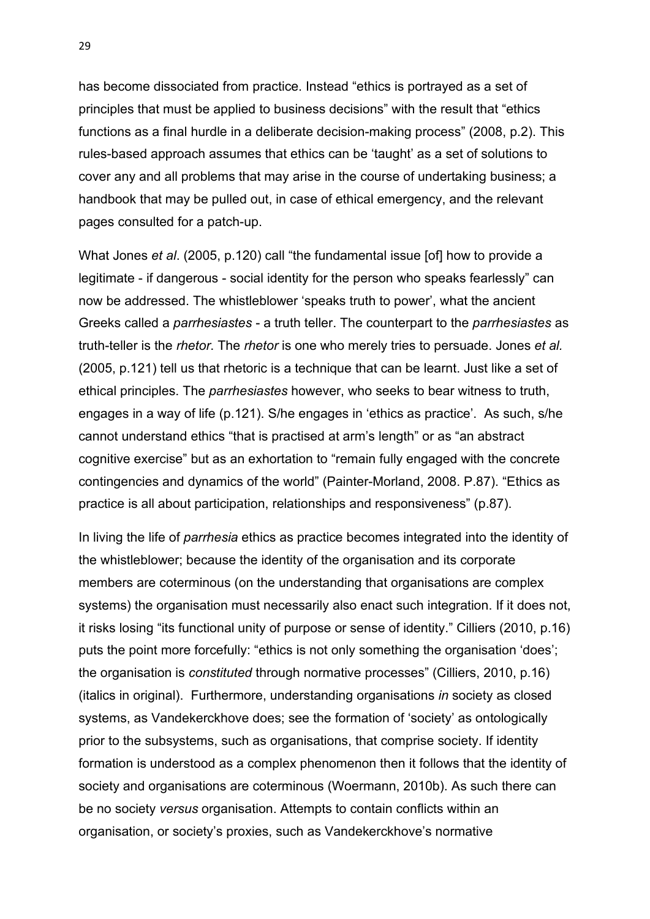has become dissociated from practice. Instead "ethics is portrayed as a set of principles that must be applied to business decisions" with the result that "ethics functions as a final hurdle in a deliberate decision-making process" (2008, p.2). This rules-based approach assumes that ethics can be 'taught' as a set of solutions to cover any and all problems that may arise in the course of undertaking business; a handbook that may be pulled out, in case of ethical emergency, and the relevant pages consulted for a patch-up.

What Jones *et al*. (2005, p.120) call "the fundamental issue [of] how to provide a legitimate - if dangerous - social identity for the person who speaks fearlessly" can now be addressed. The whistleblower 'speaks truth to power', what the ancient Greeks called a *parrhesiastes* - a truth teller. The counterpart to the *parrhesiastes* as truth-teller is the *rhetor*. The *rhetor* is one who merely tries to persuade. Jones *et al.* (2005, p.121) tell us that rhetoric is a technique that can be learnt. Just like a set of ethical principles. The *parrhesiastes* however, who seeks to bear witness to truth, engages in a way of life (p.121). S/he engages in 'ethics as practice'. As such, s/he cannot understand ethics "that is practised at arm's length" or as "an abstract cognitive exercise" but as an exhortation to "remain fully engaged with the concrete contingencies and dynamics of the world" (Painter-Morland, 2008. P.87). "Ethics as practice is all about participation, relationships and responsiveness" (p.87).

In living the life of *parrhesia* ethics as practice becomes integrated into the identity of the whistleblower; because the identity of the organisation and its corporate members are coterminous (on the understanding that organisations are complex systems) the organisation must necessarily also enact such integration. If it does not, it risks losing "its functional unity of purpose or sense of identity." Cilliers (2010, p.16) puts the point more forcefully: "ethics is not only something the organisation 'does'; the organisation is *constituted* through normative processes" (Cilliers, 2010, p.16) (italics in original). Furthermore, understanding organisations *in* society as closed systems, as Vandekerckhove does; see the formation of 'society' as ontologically prior to the subsystems, such as organisations, that comprise society. If identity formation is understood as a complex phenomenon then it follows that the identity of society and organisations are coterminous (Woermann, 2010b). As such there can be no society *versus* organisation. Attempts to contain conflicts within an organisation, or society's proxies, such as Vandekerckhove's normative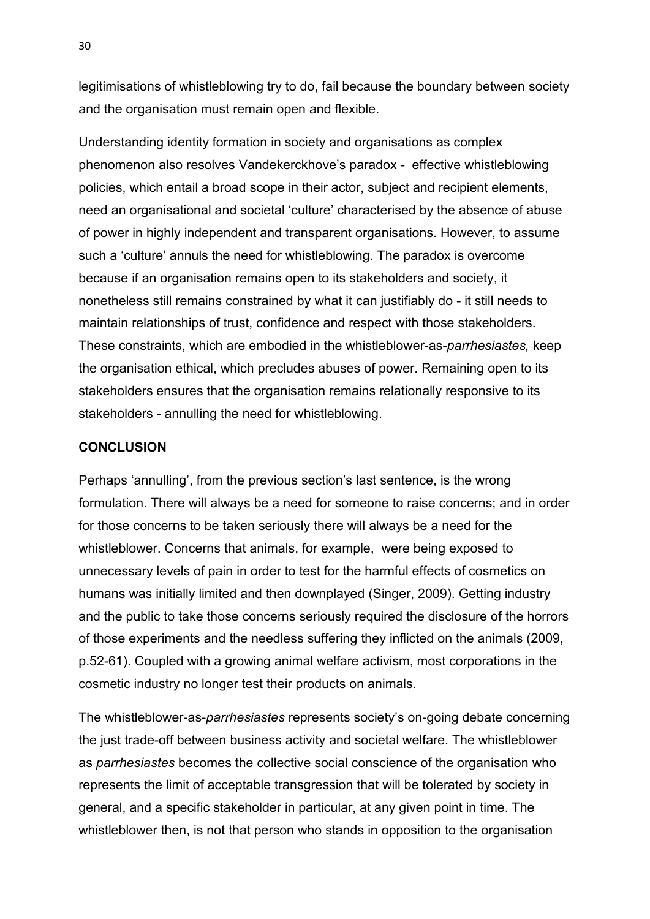legitimisations of whistleblowing try to do, fail because the boundary between society and the organisation must remain open and flexible.

Understanding identity formation in society and organisations as complex phenomenon also resolves Vandekerckhove's paradox - effective whistleblowing policies, which entail a broad scope in their actor, subject and recipient elements, need an organisational and societal 'culture' characterised by the absence of abuse of power in highly independent and transparent organisations. However, to assume such a 'culture' annuls the need for whistleblowing. The paradox is overcome because if an organisation remains open to its stakeholders and society, it nonetheless still remains constrained by what it can justifiably do - it still needs to maintain relationships of trust, confidence and respect with those stakeholders. These constraints, which are embodied in the whistleblower-as-*parrhesiastes,* keep the organisation ethical, which precludes abuses of power. Remaining open to its stakeholders ensures that the organisation remains relationally responsive to its stakeholders - annulling the need for whistleblowing.

### **CONCLUSION**

Perhaps 'annulling', from the previous section's last sentence, is the wrong formulation. There will always be a need for someone to raise concerns; and in order for those concerns to be taken seriously there will always be a need for the whistleblower. Concerns that animals, for example, were being exposed to unnecessary levels of pain in order to test for the harmful effects of cosmetics on humans was initially limited and then downplayed (Singer, 2009). Getting industry and the public to take those concerns seriously required the disclosure of the horrors of those experiments and the needless suffering they inflicted on the animals (2009, p.52-61). Coupled with a growing animal welfare activism, most corporations in the cosmetic industry no longer test their products on animals.

The whistleblower-as-*parrhesiastes* represents society's on-going debate concerning the just trade-off between business activity and societal welfare. The whistleblower as *parrhesiastes* becomes the collective social conscience of the organisation who represents the limit of acceptable transgression that will be tolerated by society in general, and a specific stakeholder in particular, at any given point in time. The whistleblower then, is not that person who stands in opposition to the organisation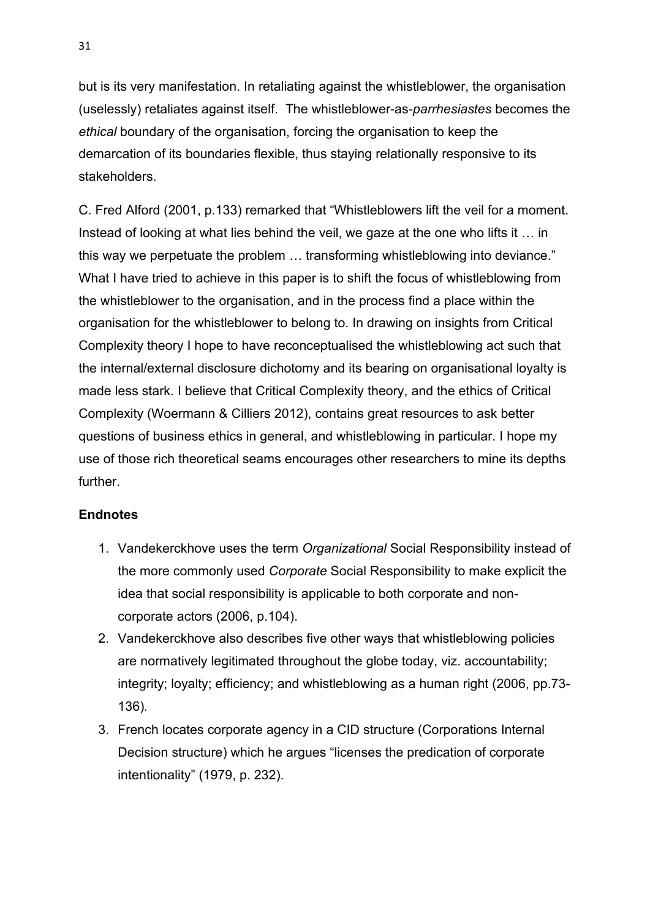but is its very manifestation. In retaliating against the whistleblower, the organisation (uselessly) retaliates against itself. The whistleblower-as-*parrhesiastes* becomes the *ethical* boundary of the organisation, forcing the organisation to keep the demarcation of its boundaries flexible, thus staying relationally responsive to its stakeholders.

C. Fred Alford (2001, p.133) remarked that "Whistleblowers lift the veil for a moment. Instead of looking at what lies behind the veil, we gaze at the one who lifts it … in this way we perpetuate the problem … transforming whistleblowing into deviance." What I have tried to achieve in this paper is to shift the focus of whistleblowing from the whistleblower to the organisation, and in the process find a place within the organisation for the whistleblower to belong to. In drawing on insights from Critical Complexity theory I hope to have reconceptualised the whistleblowing act such that the internal/external disclosure dichotomy and its bearing on organisational loyalty is made less stark. I believe that Critical Complexity theory, and the ethics of Critical Complexity (Woermann & Cilliers 2012), contains great resources to ask better questions of business ethics in general, and whistleblowing in particular. I hope my use of those rich theoretical seams encourages other researchers to mine its depths further.

### **Endnotes**

- 1. Vandekerckhove uses the term *Organizational* Social Responsibility instead of the more commonly used *Corporate* Social Responsibility to make explicit the idea that social responsibility is applicable to both corporate and noncorporate actors (2006, p.104).
- 2. Vandekerckhove also describes five other ways that whistleblowing policies are normatively legitimated throughout the globe today, viz. accountability; integrity; loyalty; efficiency; and whistleblowing as a human right (2006, pp.73- 136).
- 3. French locates corporate agency in a CID structure (Corporations Internal Decision structure) which he argues "licenses the predication of corporate intentionality" (1979, p. 232).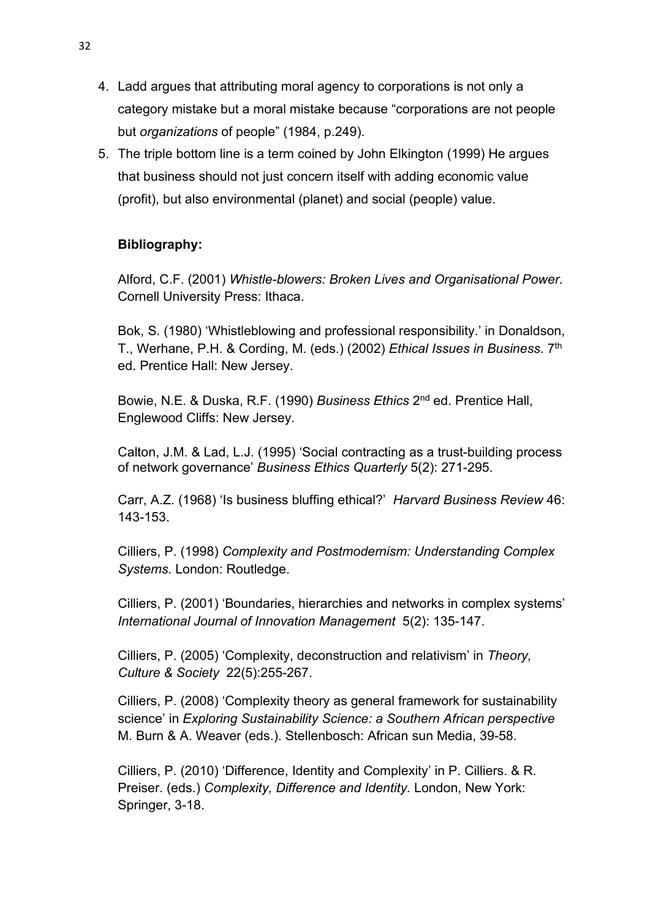- 4. Ladd argues that attributing moral agency to corporations is not only a category mistake but a moral mistake because "corporations are not people but *organizations* of people" (1984, p.249).
- 5. The triple bottom line is a term coined by John Elkington (1999) He argues that business should not just concern itself with adding economic value (profit), but also environmental (planet) and social (people) value.

### **Bibliography:**

Alford, C.F. (2001) *Whistle-blowers: Broken Lives and Organisational Power*. Cornell University Press: Ithaca.

Bok, S. (1980) 'Whistleblowing and professional responsibility.' in Donaldson, T., Werhane, P.H. & Cording, M. (eds.) (2002) *Ethical Issues in Business*. 7th ed. Prentice Hall: New Jersey.

Bowie, N.E. & Duska, R.F. (1990) *Business Ethics* 2nd ed. Prentice Hall, Englewood Cliffs: New Jersey.

Calton, J.M. & Lad, L.J. (1995) 'Social contracting as a trust-building process of network governance' *Business Ethics Quarterly* 5(2): 271-295.

Carr, A.Z. (1968) 'Is business bluffing ethical?' *Harvard Business Review* 46: 143-153.

Cilliers, P. (1998) *Complexity and Postmodernism: Understanding Complex Systems.* London: Routledge.

Cilliers, P. (2001) 'Boundaries, hierarchies and networks in complex systems' *International Journal of Innovation Management* 5(2): 135-147.

Cilliers, P. (2005) 'Complexity, deconstruction and relativism' in *Theory, Culture & Society* 22(5):255-267.

Cilliers, P. (2008) 'Complexity theory as general framework for sustainability science' in *Exploring Sustainability Science: a Southern African perspective* M. Burn & A. Weaver (eds.). Stellenbosch: African sun Media, 39-58.

Cilliers, P. (2010) 'Difference, Identity and Complexity' in P. Cilliers. & R. Preiser. (eds.) *Complexity, Difference and Identity.* London, New York: Springer, 3-18.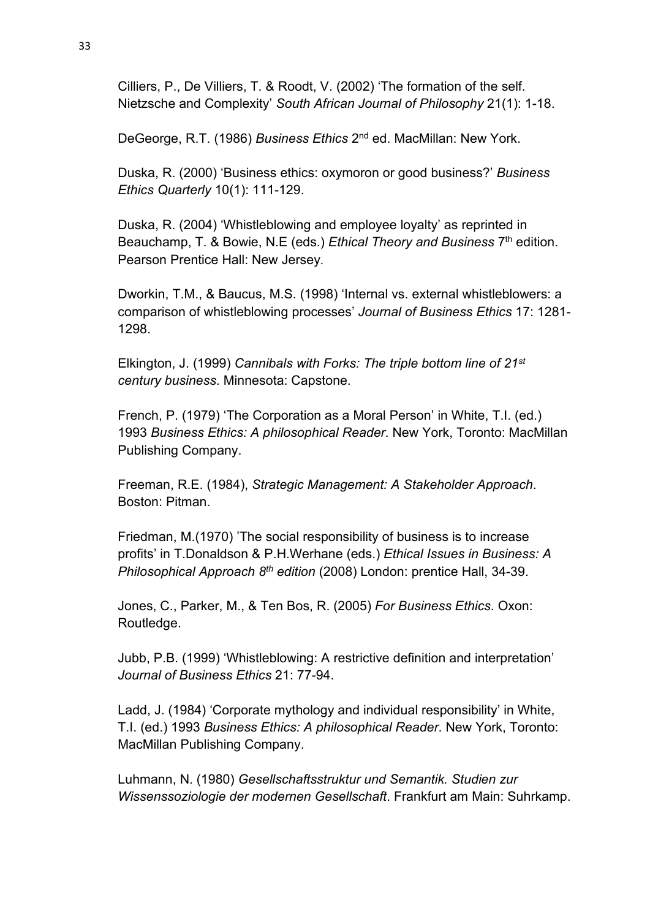Cilliers, P., De Villiers, T. & Roodt, V. (2002) 'The formation of the self. Nietzsche and Complexity' *South African Journal of Philosophy* 21(1): 1-18.

DeGeorge, R.T. (1986) *Business Ethics* 2nd ed. MacMillan: New York.

Duska, R. (2000) 'Business ethics: oxymoron or good business?' *Business Ethics Quarterly* 10(1): 111-129.

Duska, R. (2004) 'Whistleblowing and employee loyalty' as reprinted in Beauchamp, T. & Bowie, N.E (eds.) *Ethical Theory and Business* 7th edition. Pearson Prentice Hall: New Jersey.

Dworkin, T.M., & Baucus, M.S. (1998) 'Internal vs. external whistleblowers: a comparison of whistleblowing processes' *Journal of Business Ethics* 17: 1281- 1298.

Elkington, J. (1999) *Cannibals with Forks: The triple bottom line of 21st century business*. Minnesota: Capstone.

French, P. (1979) 'The Corporation as a Moral Person' in White, T.I. (ed.) 1993 *Business Ethics: A philosophical Reader*. New York, Toronto: MacMillan Publishing Company.

Freeman, R.E. (1984), *Strategic Management: A Stakeholder Approach*. Boston: Pitman.

Friedman, M.(1970) 'The social responsibility of business is to increase profits' in T.Donaldson & P.H.Werhane (eds.) *Ethical Issues in Business: A Philosophical Approach 8th edition* (2008) London: prentice Hall, 34-39.

Jones, C., Parker, M., & Ten Bos, R. (2005) *For Business Ethics*. Oxon: Routledge.

Jubb, P.B. (1999) 'Whistleblowing: A restrictive definition and interpretation' *Journal of Business Ethics* 21: 77-94.

Ladd, J. (1984) 'Corporate mythology and individual responsibility' in White, T.I. (ed.) 1993 *Business Ethics: A philosophical Reader*. New York, Toronto: MacMillan Publishing Company.

Luhmann, N. (1980) *Gesellschaftsstruktur und Semantik. Studien zur Wissenssoziologie der modernen Gesellschaft*. Frankfurt am Main: Suhrkamp.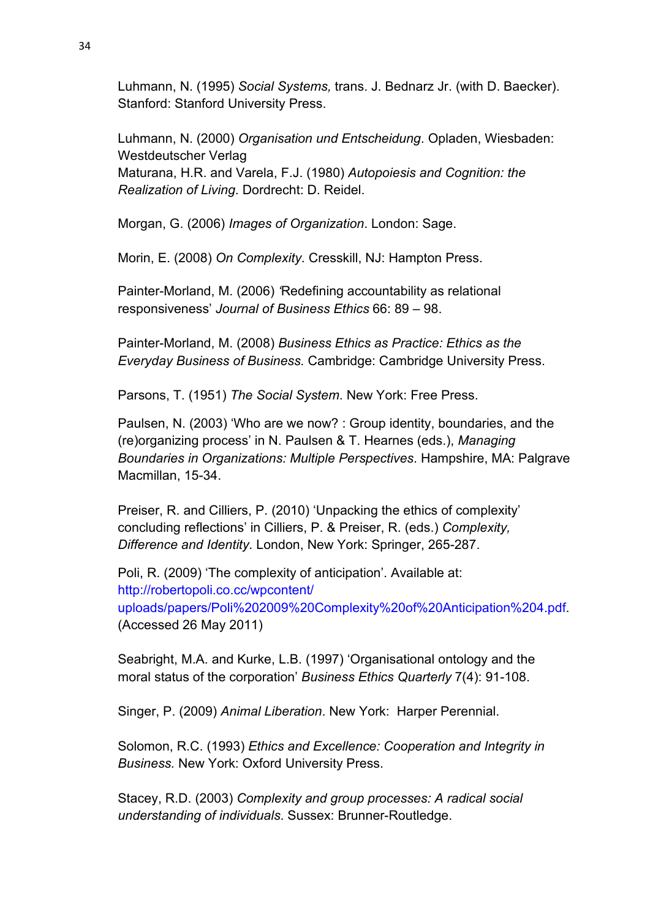Luhmann, N. (1995) *Social Systems,* trans. J. Bednarz Jr. (with D. Baecker). Stanford: Stanford University Press.

Luhmann, N. (2000) *Organisation und Entscheidung*. Opladen, Wiesbaden: Westdeutscher Verlag Maturana, H.R. and Varela, F.J. (1980) *Autopoiesis and Cognition: the Realization of Living*. Dordrecht: D. Reidel.

Morgan, G. (2006) *Images of Organization*. London: Sage.

Morin, E. (2008) *On Complexity*. Cresskill, NJ: Hampton Press.

Painter-Morland, M. (2006) *'*Redefining accountability as relational responsiveness' *Journal of Business Ethics* 66: 89 – 98.

Painter-Morland, M. (2008) *Business Ethics as Practice: Ethics as the Everyday Business of Business.* Cambridge: Cambridge University Press.

Parsons, T. (1951) *The Social System*. New York: Free Press.

Paulsen, N. (2003) 'Who are we now? : Group identity, boundaries, and the (re)organizing process' in N. Paulsen & T. Hearnes (eds.), *Managing Boundaries in Organizations: Multiple Perspectives*. Hampshire, MA: Palgrave Macmillan, 15-34.

Preiser, R. and Cilliers, P. (2010) 'Unpacking the ethics of complexity' concluding reflections' in Cilliers, P. & Preiser, R. (eds.) *Complexity, Difference and Identity*. London, New York: Springer, 265-287.

Poli, R. (2009) 'The complexity of anticipation'. Available at: http://robertopoli.co.cc/wpcontent/ uploads/papers/Poli%202009%20Complexity%20of%20Anticipation%204.pdf. (Accessed 26 May 2011)

Seabright, M.A. and Kurke, L.B. (1997) 'Organisational ontology and the moral status of the corporation' *Business Ethics Quarterly* 7(4): 91-108.

Singer, P. (2009) *Animal Liberation*. New York: Harper Perennial.

Solomon, R.C. (1993) *Ethics and Excellence: Cooperation and Integrity in Business.* New York: Oxford University Press.

Stacey, R.D. (2003) *Complexity and group processes: A radical social understanding of individuals*. Sussex: Brunner-Routledge.